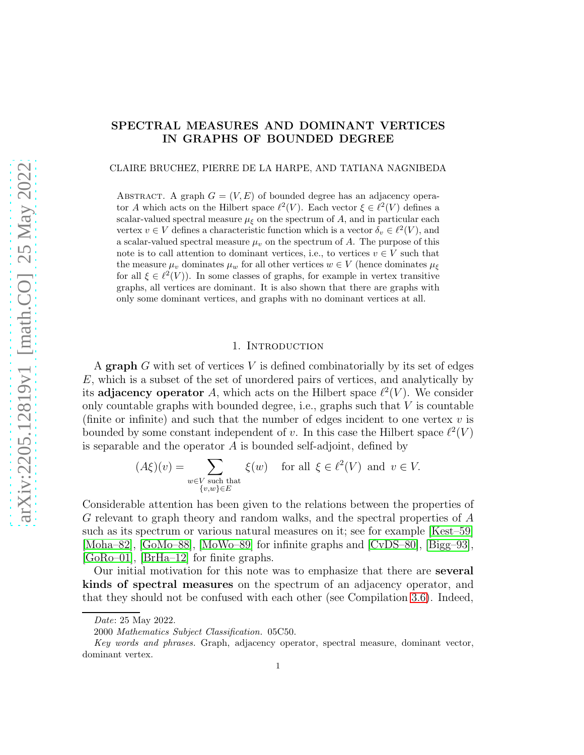# SPECTRAL MEASURES AND DOMINANT VERTICES IN GRAPHS OF BOUNDED DEGREE

CLAIRE BRUCHEZ, PIERRE DE LA HARPE, AND TATIANA NAGNIBEDA

ABSTRACT. A graph  $G = (V, E)$  of bounded degree has an adjacency operator A which acts on the Hilbert space  $\ell^2(V)$ . Each vector  $\xi \in \ell^2(V)$  defines a scalar-valued spectral measure  $\mu_{\xi}$  on the spectrum of A, and in particular each vertex  $v \in V$  defines a characteristic function which is a vector  $\delta_v \in \ell^2(V)$ , and a scalar-valued spectral measure  $\mu<sub>v</sub>$  on the spectrum of A. The purpose of this note is to call attention to dominant vertices, i.e., to vertices  $v \in V$  such that the measure  $\mu_v$  dominates  $\mu_w$  for all other vertices  $w \in V$  (hence dominates  $\mu_{\xi}$ for all  $\xi \in \ell^2(V)$ ). In some classes of graphs, for example in vertex transitive graphs, all vertices are dominant. It is also shown that there are graphs with only some dominant vertices, and graphs with no dominant vertices at all.

#### 1. INTRODUCTION

A graph  $G$  with set of vertices  $V$  is defined combinatorially by its set of edges E, which is a subset of the set of unordered pairs of vertices, and analytically by its adjacency operator A, which acts on the Hilbert space  $\ell^2(V)$ . We consider only countable graphs with bounded degree, i.e., graphs such that  $V$  is countable (finite or infinite) and such that the number of edges incident to one vertex  $v$  is bounded by some constant independent of v. In this case the Hilbert space  $\ell^2(V)$ is separable and the operator A is bounded self-adjoint, defined by

$$
(A\xi)(v) = \sum_{\substack{w \in V \text{ such that} \\ \{v, w\} \in E}} \xi(w) \quad \text{ for all } \xi \in \ell^2(V) \text{ and } v \in V.
$$

Considerable attention has been given to the relations between the properties of G relevant to graph theory and random walks, and the spectral properties of A such as its spectrum or various natural measures on it; see for example [\[Kest–59\]](#page-38-0) [\[Moha–82\]](#page-38-1), [\[GoMo–88\]](#page-38-2), [\[MoWo–89\]](#page-38-3) for infinite graphs and [\[CvDS–80\]](#page-37-0), [\[Bigg–93\]](#page-37-1), [\[GoRo–01\]](#page-38-4), [\[BrHa–12\]](#page-37-2) for finite graphs.

Our initial motivation for this note was to emphasize that there are several kinds of spectral measures on the spectrum of an adjacency operator, and that they should not be confused with each other (see Compilation [3.6\)](#page-12-0). Indeed,

*Date*: 25 May 2022.

<sup>2000</sup> *Mathematics Subject Classification.* 05C50.

*Key words and phrases.* Graph, adjacency operator, spectral measure, dominant vector, dominant vertex.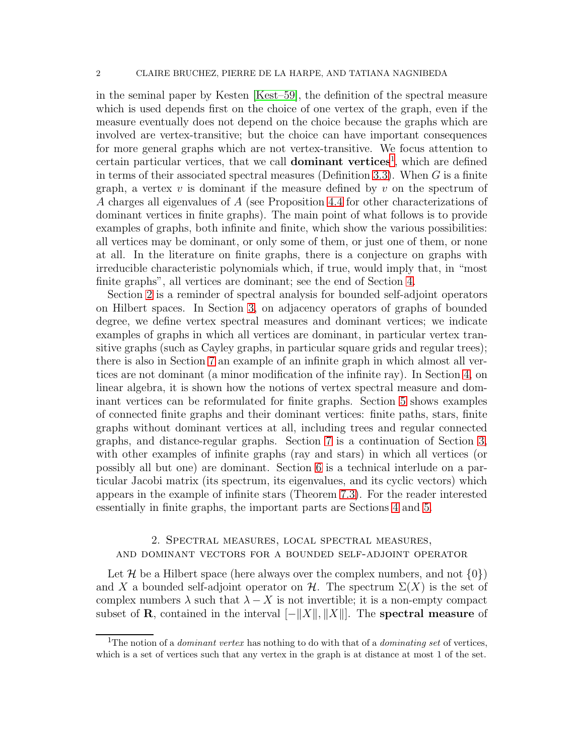#### 2 CLAIRE BRUCHEZ, PIERRE DE LA HARPE, AND TATIANA NAGNIBEDA

in the seminal paper by Kesten [\[Kest–59\]](#page-38-0), the definition of the spectral measure which is used depends first on the choice of one vertex of the graph, even if the measure eventually does not depend on the choice because the graphs which are involved are vertex-transitive; but the choice can have important consequences for more general graphs which are not vertex-transitive. We focus attention to certain particular vertices, that we call **dominant vertices**<sup>[1](#page-1-0)</sup>, which are defined in terms of their associated spectral measures (Definition [3.3\)](#page-10-0). When  $G$  is a finite graph, a vertex  $v$  is dominant if the measure defined by  $v$  on the spectrum of A charges all eigenvalues of A (see Proposition [4.4](#page-15-0) for other characterizations of dominant vertices in finite graphs). The main point of what follows is to provide examples of graphs, both infinite and finite, which show the various possibilities: all vertices may be dominant, or only some of them, or just one of them, or none at all. In the literature on finite graphs, there is a conjecture on graphs with irreducible characteristic polynomials which, if true, would imply that, in "most finite graphs", all vertices are dominant; see the end of Section [4.](#page-13-0)

Section [2](#page-1-1) is a reminder of spectral analysis for bounded self-adjoint operators on Hilbert spaces. In Section [3,](#page-6-0) on adjacency operators of graphs of bounded degree, we define vertex spectral measures and dominant vertices; we indicate examples of graphs in which all vertices are dominant, in particular vertex transitive graphs (such as Cayley graphs, in particular square grids and regular trees); there is also in Section [7](#page-32-0) an example of an infinite graph in which almost all vertices are not dominant (a minor modification of the infinite ray). In Section [4,](#page-13-0) on linear algebra, it is shown how the notions of vertex spectral measure and dominant vertices can be reformulated for finite graphs. Section [5](#page-18-0) shows examples of connected finite graphs and their dominant vertices: finite paths, stars, finite graphs without dominant vertices at all, including trees and regular connected graphs, and distance-regular graphs. Section [7](#page-32-0) is a continuation of Section [3,](#page-6-0) with other examples of infinite graphs (ray and stars) in which all vertices (or possibly all but one) are dominant. Section [6](#page-26-0) is a technical interlude on a particular Jacobi matrix (its spectrum, its eigenvalues, and its cyclic vectors) which appears in the example of infinite stars (Theorem [7.3\)](#page-35-0). For the reader interested essentially in finite graphs, the important parts are Sections [4](#page-13-0) and [5.](#page-18-0)

## <span id="page-1-1"></span>2. Spectral measures, local spectral measures, and dominant vectors for a bounded self-adjoint operator

Let H be a Hilbert space (here always over the complex numbers, and not  $\{0\}$ ) and X a bounded self-adjoint operator on H. The spectrum  $\Sigma(X)$  is the set of complex numbers  $\lambda$  such that  $\lambda - X$  is not invertible; it is a non-empty compact subset of **R**, contained in the interval  $\vert -\Vert X\Vert$ ,  $\Vert X\Vert$ . The spectral measure of

<span id="page-1-0"></span><sup>1</sup>The notion of a *dominant vertex* has nothing to do with that of a *dominating set* of vertices, which is a set of vertices such that any vertex in the graph is at distance at most 1 of the set.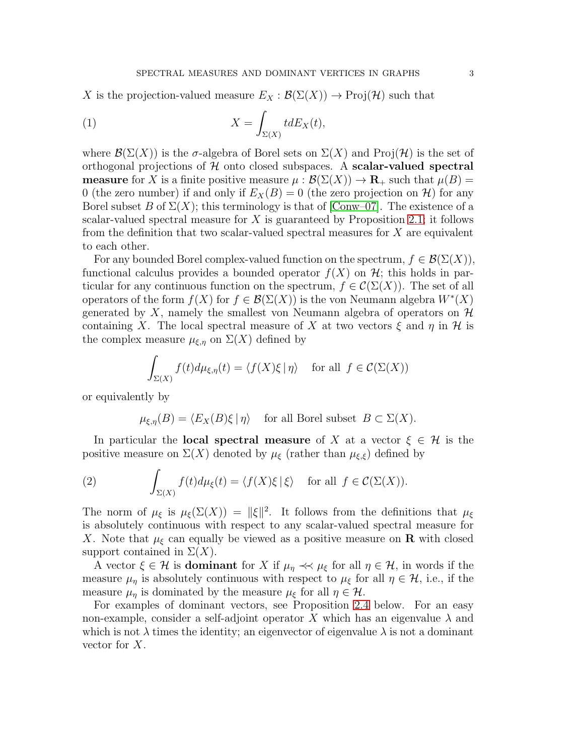X is the projection-valued measure  $E_X : \mathcal{B}(\Sigma(X)) \to \mathrm{Proj}(\mathcal{H})$  such that

(1) 
$$
X = \int_{\Sigma(X)} t dE_X(t),
$$

where  $\mathcal{B}(\Sigma(X))$  is the  $\sigma$ -algebra of Borel sets on  $\Sigma(X)$  and Proj(H) is the set of orthogonal projections of  $H$  onto closed subspaces. A scalar-valued spectral **measure** for X is a finite positive measure  $\mu : \mathcal{B}(\Sigma(X)) \to \mathbf{R}_{+}$  such that  $\mu(B) =$ 0 (the zero number) if and only if  $E_X(B) = 0$  (the zero projection on H) for any Borel subset B of  $\Sigma(X)$ ; this terminology is that of [\[Conw–07\]](#page-37-3). The existence of a scalar-valued spectral measure for  $X$  is guaranteed by Proposition [2.1;](#page-3-0) it follows from the definition that two scalar-valued spectral measures for X are equivalent to each other.

For any bounded Borel complex-valued function on the spectrum,  $f \in \mathcal{B}(\Sigma(X)),$ functional calculus provides a bounded operator  $f(X)$  on  $\mathcal{H}$ ; this holds in particular for any continuous function on the spectrum,  $f \in \mathcal{C}(\Sigma(X))$ . The set of all operators of the form  $f(X)$  for  $f \in \mathcal{B}(\Sigma(X))$  is the von Neumann algebra  $W^*(X)$ generated by X, namely the smallest von Neumann algebra of operators on  $\mathcal H$ containing X. The local spectral measure of X at two vectors  $\xi$  and  $\eta$  in H is the complex measure  $\mu_{\xi,\eta}$  on  $\Sigma(X)$  defined by

$$
\int_{\Sigma(X)} f(t) d\mu_{\xi,\eta}(t) = \langle f(X)\xi \, | \, \eta \rangle \quad \text{for all } f \in \mathcal{C}(\Sigma(X))
$$

or equivalently by

<span id="page-2-0"></span>
$$
\mu_{\xi,\eta}(B) = \langle E_X(B)\xi \, | \, \eta \rangle \quad \text{for all Borel subset } B \subset \Sigma(X).
$$

In particular the **local spectral measure** of X at a vector  $\xi \in \mathcal{H}$  is the positive measure on  $\Sigma(X)$  denoted by  $\mu_{\xi}$  (rather than  $\mu_{\xi,\xi}$ ) defined by

(2) 
$$
\int_{\Sigma(X)} f(t) d\mu_{\xi}(t) = \langle f(X)\xi | \xi \rangle \quad \text{for all } f \in \mathcal{C}(\Sigma(X)).
$$

The norm of  $\mu_{\xi}$  is  $\mu_{\xi}(\Sigma(X)) = ||\xi||^2$ . It follows from the definitions that  $\mu_{\xi}$ is absolutely continuous with respect to any scalar-valued spectral measure for X. Note that  $\mu_{\xi}$  can equally be viewed as a positive measure on **R** with closed support contained in  $\Sigma(X)$ .

A vector  $\xi \in \mathcal{H}$  is **dominant** for X if  $\mu_{\eta} \ll \mu_{\xi}$  for all  $\eta \in \mathcal{H}$ , in words if the measure  $\mu_{\eta}$  is absolutely continuous with respect to  $\mu_{\xi}$  for all  $\eta \in \mathcal{H}$ , i.e., if the measure  $\mu_n$  is dominated by the measure  $\mu_{\xi}$  for all  $\eta \in \mathcal{H}$ .

For examples of dominant vectors, see Proposition [2.4](#page-4-0) below. For an easy non-example, consider a self-adjoint operator X which has an eigenvalue  $\lambda$  and which is not  $\lambda$  times the identity; an eigenvector of eigenvalue  $\lambda$  is not a dominant vector for X.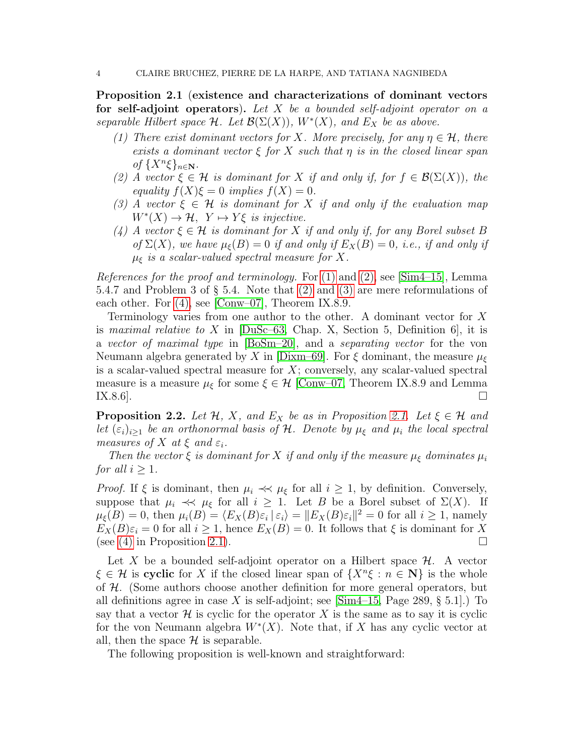<span id="page-3-0"></span>Proposition 2.1 (existence and characterizations of dominant vectors for self-adjoint operators). *Let* X *be a bounded self-adjoint operator on a separable Hilbert space*  $H$ *. Let*  $\mathcal{B}(\Sigma(X))$ *,*  $W^*(X)$ *, and*  $E_X$  *be as above.* 

- <span id="page-3-1"></span>*(1) There exist dominant vectors for* X. More precisely, for any  $\eta \in \mathcal{H}$ , there *exists a dominant vector* ξ *for* X *such that* η *is in the closed linear span*  $of \{X^n\xi\}_{n\in\mathbb{N}}$ .
- <span id="page-3-2"></span>*(2)* A vector  $\xi \in \mathcal{H}$  is dominant for X if and only if, for  $f \in \mathcal{B}(\Sigma(X))$ , the *equality*  $f(X)\xi = 0$  *implies*  $f(X) = 0$ *.*
- <span id="page-3-4"></span><span id="page-3-3"></span>*(3)* A vector  $\xi \in \mathcal{H}$  *is dominant for* X *if and only if the evaluation map*  $W^*(X) \to \mathcal{H}, Y \mapsto Y\xi$  *is injective.*
- *(4) A* vector  $\xi \in \mathcal{H}$  *is dominant for X if and only if, for any Borel subset B of*  $\Sigma(X)$ *, we have*  $\mu_{\xi}(B) = 0$  *if and only if*  $E_X(B) = 0$ *, i.e., if and only if* µ<sup>ξ</sup> *is a scalar-valued spectral measure for* X*.*

*References for the proof and terminology.* For [\(1\)](#page-3-1) and [\(2\),](#page-3-2) see [\[Sim4–15\]](#page-38-5), Lemma 5.4.7 and Problem 3 of § 5.4. Note that [\(2\)](#page-3-2) and [\(3\)](#page-3-3) are mere reformulations of each other. For [\(4\),](#page-3-4) see [\[Conw–07\]](#page-37-3), Theorem IX.8.9.

Terminology varies from one author to the other. A dominant vector for X is *maximal relative to* X in [\[DuSc–63,](#page-37-4) Chap. X, Section 5, Definition 6], it is a *vector of maximal type* in [\[BoSm–20\]](#page-37-5), and a *separating vector* for the von Neumann algebra generated by X in [\[Dixm–69\]](#page-37-6). For  $\xi$  dominant, the measure  $\mu_{\xi}$ is a scalar-valued spectral measure for  $X$ ; conversely, any scalar-valued spectral measure is a measure  $\mu_{\xi}$  for some  $\xi \in \mathcal{H}$  [\[Conw–07,](#page-37-3) Theorem IX.8.9 and Lemma IX.8.6]. IX.8.6].  $\square$ 

<span id="page-3-5"></span>**Proposition 2.2.** *Let*  $H$ *,*  $X$ *,* and  $E_X$  *be as in Proposition [2.1.](#page-3-0) Let*  $\xi \in H$  *and let*  $(\varepsilon_i)_{i>1}$  *be an orthonormal basis of* H. Denote by  $\mu_{\xi}$  and  $\mu_i$  the local spectral *measures of*  $X$  *at*  $\xi$  *and*  $\varepsilon_i$ *.* 

*Then the vector*  $\xi$  *is dominant for* X *if and only if the measure*  $\mu_{\xi}$  *dominates*  $\mu_i$ *for all*  $i \geq 1$ *.* 

*Proof.* If  $\xi$  is dominant, then  $\mu_i \ll \mu_\xi$  for all  $i \geq 1$ , by definition. Conversely, suppose that  $\mu_i \prec \!\prec \mu_{\xi}$  for all  $i \geq 1$ . Let B be a Borel subset of  $\Sigma(X)$ . If  $\mu_{\xi}(B) = 0$ , then  $\mu_i(B) = \langle E_X(B)\varepsilon_i | \varepsilon_i \rangle = ||E_X(B)\varepsilon_i||^2 = 0$  for all  $i \ge 1$ , namely  $E_X(B)\varepsilon_i = 0$  for all  $i \ge 1$ , hence  $E_X(B) = 0$ . It follows that  $\xi$  is dominant for X (see (4) in Proposition 2.1). (see [\(4\)](#page-3-4) in Proposition [2.1\)](#page-3-0).

Let X be a bounded self-adjoint operator on a Hilbert space  $\mathcal{H}$ . A vector  $\xi \in \mathcal{H}$  is cyclic for X if the closed linear span of  $\{X^n \xi : n \in \mathbb{N}\}\$ is the whole of H. (Some authors choose another definition for more general operators, but all definitions agree in case X is self-adjoint; see  $[\text{Sim4–15}, \text{Page 289}, \S 5.1]$ .) To say that a vector  $\mathcal H$  is cyclic for the operator X is the same as to say it is cyclic for the von Neumann algebra  $W^*(X)$ . Note that, if X has any cyclic vector at all, then the space  $\mathcal H$  is separable.

The following proposition is well-known and straightforward: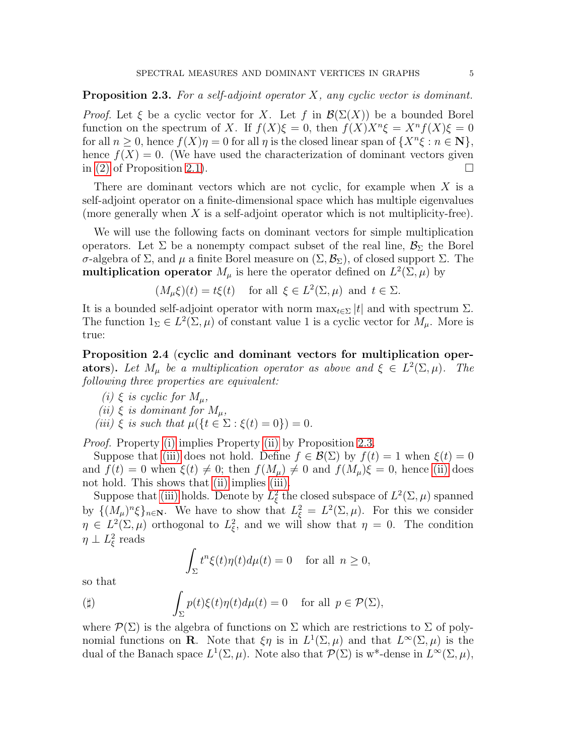<span id="page-4-3"></span>Proposition 2.3. *For a self-adjoint operator* X*, any cyclic vector is dominant.*

*Proof.* Let  $\xi$  be a cyclic vector for X. Let f in  $\mathcal{B}(\Sigma(X))$  be a bounded Borel function on the spectrum of X. If  $f(X)\xi = 0$ , then  $f(X)X^n\xi = X^n f(X)\xi = 0$ for all  $n \geq 0$ , hence  $f(X)\eta = 0$  for all  $\eta$  is the closed linear span of  $\{X^n \xi : n \in \mathbb{N}\},$ hence  $f(X) = 0$ . (We have used the characterization of dominant vectors given in [\(2\)](#page-3-2) of Proposition [2.1\)](#page-3-0).

There are dominant vectors which are not cyclic, for example when  $X$  is a self-adjoint operator on a finite-dimensional space which has multiple eigenvalues (more generally when  $X$  is a self-adjoint operator which is not multiplicity-free).

We will use the following facts on dominant vectors for simple multiplication operators. Let  $\Sigma$  be a nonempty compact subset of the real line,  $\mathcal{B}_{\Sigma}$  the Borel σ-algebra of Σ, and  $\mu$  a finite Borel measure on  $(\Sigma, \mathcal{B}_{\Sigma})$ , of closed support Σ. The multiplication operator  $M_{\mu}$  is here the operator defined on  $L^2(\Sigma, \mu)$  by

$$
(M_{\mu}\xi)(t) = t\xi(t)
$$
 for all  $\xi \in L^2(\Sigma, \mu)$  and  $t \in \Sigma$ .

It is a bounded self-adjoint operator with norm  $\max_{t \in \Sigma} |t|$  and with spectrum  $\Sigma$ . The function  $1_{\Sigma} \in L^2(\Sigma, \mu)$  of constant value 1 is a cyclic vector for  $M_{\mu}$ . More is true:

<span id="page-4-0"></span>Proposition 2.4 (cyclic and dominant vectors for multiplication oper**ators**). Let  $M_{\mu}$  be a multiplication operator as above and  $\xi \in L^2(\Sigma, \mu)$ . The *following three properties are equivalent:*

- <span id="page-4-2"></span><span id="page-4-1"></span>*(i)*  $\xi$  *is cyclic for*  $M_{\mu}$ *,*
- <span id="page-4-4"></span>*(ii)*  $\xi$  *is dominant for*  $M_{\mu}$ ,
- *(iii)*  $\xi$  *is such that*  $\mu({t \in \Sigma : \xi(t) = 0}) = 0$ *.*

*Proof.* Property [\(i\)](#page-4-1) implies Property [\(ii\)](#page-4-2) by Proposition [2.3.](#page-4-3)

Suppose that [\(iii\)](#page-4-4) does not hold. Define  $f \in \mathcal{B}(\Sigma)$  by  $f(t) = 1$  when  $\xi(t) = 0$ and  $f(t) = 0$  when  $\xi(t) \neq 0$ ; then  $f(M_\mu) \neq 0$  and  $f(M_\mu)\xi = 0$ , hence [\(ii\)](#page-4-2) does not hold. This shows that [\(ii\)](#page-4-2) implies [\(iii\).](#page-4-4)

Suppose that [\(iii\)](#page-4-4) holds. Denote by  $L^2_\xi$  the closed subspace of  $L^2(\Sigma, \mu)$  spanned by  $\{(M_\mu)^n \xi\}_{n\in\mathbb{N}}$ . We have to show that  $L_\xi^2 = L^2(\Sigma, \mu)$ . For this we consider  $\eta \in L^2(\Sigma, \mu)$  orthogonal to  $L^2_{\xi}$ , and we will show that  $\eta = 0$ . The condition  $\eta \perp L^2_{\xi}$  reads

$$
\int_{\Sigma} t^n \xi(t) \eta(t) d\mu(t) = 0 \quad \text{for all } n \ge 0,
$$

so that

$$
\text{(ii)} \qquad \qquad \int_{\Sigma} p(t)\xi(t)\eta(t)d\mu(t) = 0 \quad \text{ for all } \, p \in \mathcal{P}(\Sigma),
$$

where  $\mathcal{P}(\Sigma)$  is the algebra of functions on  $\Sigma$  which are restrictions to  $\Sigma$  of polynomial functions on **R**. Note that  $\xi \eta$  is in  $L^1(\Sigma, \mu)$  and that  $L^{\infty}(\Sigma, \mu)$  is the dual of the Banach space  $L^1(\Sigma, \mu)$ . Note also that  $\mathcal{P}(\Sigma)$  is w<sup>\*</sup>-dense in  $L^{\infty}(\Sigma, \mu)$ ,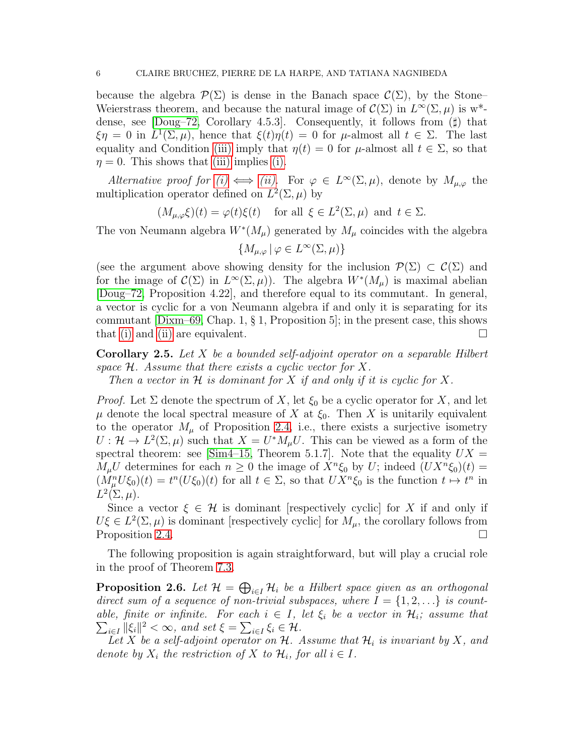because the algebra  $\mathcal{P}(\Sigma)$  is dense in the Banach space  $\mathcal{C}(\Sigma)$ , by the Stone– Weierstrass theorem, and because the natural image of  $\mathcal{C}(\Sigma)$  in  $L^{\infty}(\Sigma, \mu)$  is w<sup>\*</sup>dense, see  $[$ Doug–72, Corollary 4.5.3 $]$ . Consequently, it follows from  $($ sharp) that  $\xi \eta = 0$  in  $L^1(\Sigma, \mu)$ , hence that  $\xi(t) \eta(t) = 0$  for  $\mu$ -almost all  $t \in \Sigma$ . The last equality and Condition [\(iii\)](#page-4-4) imply that  $\eta(t) = 0$  for  $\mu$ -almost all  $t \in \Sigma$ , so that  $\eta = 0$ . This shows that [\(iii\)](#page-4-4) implies [\(i\).](#page-4-1)

*Alternative proof for*  $(i) \iff (ii)$ . For  $\varphi \in L^{\infty}(\Sigma, \mu)$ , denote by  $M_{\mu, \varphi}$  the multiplication operator defined on  $L^2(\Sigma, \mu)$  by

$$
(M_{\mu,\varphi}\xi)(t) = \varphi(t)\xi(t)
$$
 for all  $\xi \in L^2(\Sigma,\mu)$  and  $t \in \Sigma$ .

The von Neumann algebra  $W^*(M_\mu)$  generated by  $M_\mu$  coincides with the algebra

$$
\{M_{\mu,\varphi} \,|\, \varphi \in L^{\infty}(\Sigma,\mu)\}
$$

(see the argument above showing density for the inclusion  $\mathcal{P}(\Sigma) \subset \mathcal{C}(\Sigma)$  and for the image of  $\mathcal{C}(\Sigma)$  in  $L^{\infty}(\Sigma, \mu)$ . The algebra  $W^{*}(M_{\mu})$  is maximal abelian [\[Doug–72,](#page-37-7) Proposition 4.22], and therefore equal to its commutant. In general, a vector is cyclic for a von Neumann algebra if and only it is separating for its commutant  $\text{Dixm-69}$ , Chap. 1, § 1, Proposition 5; in the present case, this shows that [\(i\)](#page-4-1) and [\(ii\)](#page-4-2) are equivalent.  $\square$ 

<span id="page-5-0"></span>Corollary 2.5. *Let* X *be a bounded self-adjoint operator on a separable Hilbert space* H*. Assume that there exists a cyclic vector for* X*.*

*Then a vector in*  $H$  *is dominant for*  $X$  *if and only if it is cyclic for*  $X$ *.* 

*Proof.* Let  $\Sigma$  denote the spectrum of X, let  $\xi_0$  be a cyclic operator for X, and let  $\mu$  denote the local spectral measure of X at  $\xi_0$ . Then X is unitarily equivalent to the operator  $M_{\mu}$  of Proposition [2.4,](#page-4-0) i.e., there exists a surjective isometry  $U: \mathcal{H} \to L^2(\Sigma, \mu)$  such that  $X = U^* M_\mu U$ . This can be viewed as a form of the spectral theorem: see  $\text{Sim4–15}$ , Theorem 5.1.7. Note that the equality  $UX =$  $M_{\mu}U$  determines for each  $n \geq 0$  the image of  $X^{n}\xi_{0}$  by U; indeed  $(UX^{n}\xi_{0})(t) =$  $(M_{\mu}^{n}U\xi_{0})(t) = t^{n}(U\xi_{0})(t)$  for all  $t \in \Sigma$ , so that  $UX^{n}\xi_{0}$  is the function  $t \mapsto t^{n}$  in  $L^2(\Sigma,\mu).$ 

Since a vector  $\xi \in \mathcal{H}$  is dominant [respectively cyclic] for X if and only if  $U\xi \in L^2(\Sigma, \mu)$  is dominant [respectively cyclic] for  $M_\mu$ , the corollary follows from Proposition [2.4.](#page-4-0)  $\Box$ 

The following proposition is again straightforward, but will play a crucial role in the proof of Theorem [7.3.](#page-35-0)

<span id="page-5-1"></span>**Proposition 2.6.** Let  $\mathcal{H} = \bigoplus_{i \in I} \mathcal{H}_i$  be a Hilbert space given as an orthogonal direct sum of a sequence of non-trivial subspaces, where  $I = \{1, 2, \ldots\}$  is count*able, finite or infinite. For each*  $i \in I$ , let  $\xi_i$  be a vector in  $\mathcal{H}_i$ ; assume that  $\sum_{i\in I} ||\xi_i||^2 < \infty$ , and set  $\xi = \sum_{i\in I} \xi_i \in \mathcal{H}$ .

Let X be a self-adjoint operator on  $H$ . Assume that  $H_i$  is invariant by X, and *denote by*  $X_i$  *the restriction of*  $X$  *to*  $\mathcal{H}_i$ *, for all*  $i \in I$ *.*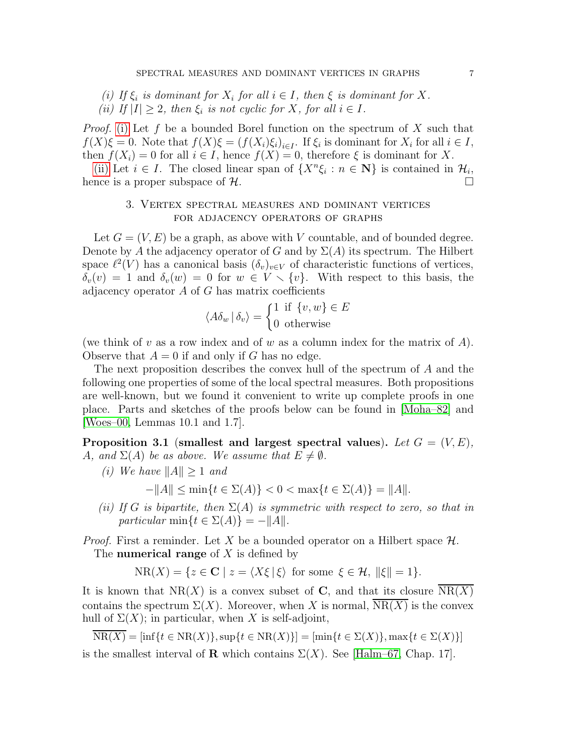<span id="page-6-2"></span><span id="page-6-1"></span>*(i)* If  $\xi_i$  is dominant for  $X_i$  for all  $i \in I$ , then  $\xi$  is dominant for X. (*ii*) If  $|I| \geq 2$ , then  $\xi_i$  is not cyclic for X, for all  $i \in I$ .

*Proof.* [\(i\)](#page-6-1) Let f be a bounded Borel function on the spectrum of X such that  $f(X)\xi = 0$ . Note that  $f(X)\xi = (f(X_i)\xi_i)_{i \in I}$ . If  $\xi_i$  is dominant for  $X_i$  for all  $i \in I$ , then  $f(X_i) = 0$  for all  $i \in I$ , hence  $f(X) = 0$ , therefore  $\xi$  is dominant for X.

<span id="page-6-0"></span>[\(ii\)](#page-6-2) Let  $i \in I$ . The closed linear span of  $\{X^n \xi_i : n \in \mathbb{N}\}\)$  is contained in  $\mathcal{H}_{i}$ . hence is a proper subspace of  $\mathcal{H}$ .

### 3. Vertex spectral measures and dominant vertices for adjacency operators of graphs

Let  $G = (V, E)$  be a graph, as above with V countable, and of bounded degree. Denote by A the adjacency operator of G and by  $\Sigma(A)$  its spectrum. The Hilbert space  $\ell^2(V)$  has a canonical basis  $(\delta_v)_{v \in V}$  of characteristic functions of vertices,  $\delta_v(v) = 1$  and  $\delta_v(w) = 0$  for  $w \in V \setminus \{v\}$ . With respect to this basis, the adjacency operator  $A$  of  $G$  has matrix coefficients

$$
\langle A\delta_w | \delta_v \rangle = \begin{cases} 1 & \text{if } \{v, w\} \in E \\ 0 & \text{otherwise} \end{cases}
$$

(we think of v as a row index and of w as a column index for the matrix of  $A$ ). Observe that  $A = 0$  if and only if G has no edge.

The next proposition describes the convex hull of the spectrum of A and the following one properties of some of the local spectral measures. Both propositions are well-known, but we found it convenient to write up complete proofs in one place. Parts and sketches of the proofs below can be found in [\[Moha–82\]](#page-38-1) and [\[Woes–00,](#page-38-6) Lemmas 10.1 and 1.7].

<span id="page-6-3"></span>Proposition 3.1 (smallest and largest spectral values). Let  $G = (V, E)$ , A, and  $\Sigma(A)$  be as above. We assume that  $E \neq \emptyset$ .

*(i)* We have  $||A|| > 1$  *and* 

 $-||A|| \le \min\{t \in \Sigma(A)\} < 0 < \max\{t \in \Sigma(A)\} = ||A||.$ 

<span id="page-6-4"></span>*(ii) If* G *is bipartite, then* Σ(A) *is symmetric with respect to zero, so that in particular* min $\{t \in \Sigma(A)\} = -\|A\|$ .

*Proof.* First a reminder. Let X be a bounded operator on a Hilbert space  $\mathcal{H}$ . The **numerical range** of  $X$  is defined by

 $NR(X) = \{z \in \mathbf{C} \mid z = \langle X\xi | \xi \rangle \text{ for some } \xi \in \mathcal{H}, ||\xi|| = 1\}.$ 

It is known that  $NR(X)$  is a convex subset of C, and that its closure  $NR(X)$ contains the spectrum  $\Sigma(X)$ . Moreover, when X is normal, NR(X) is the convex hull of  $\Sigma(X)$ ; in particular, when X is self-adjoint,

 $NR(X) = \inf\{t \in NR(X)\}, \sup\{t \in NR(X)\}\ = \left[\min\{t \in \Sigma(X)\}, \max\{t \in \Sigma(X)\}\right]$ 

is the smallest interval of **R** which contains  $\Sigma(X)$ . See [\[Halm–67,](#page-38-7) Chap. 17].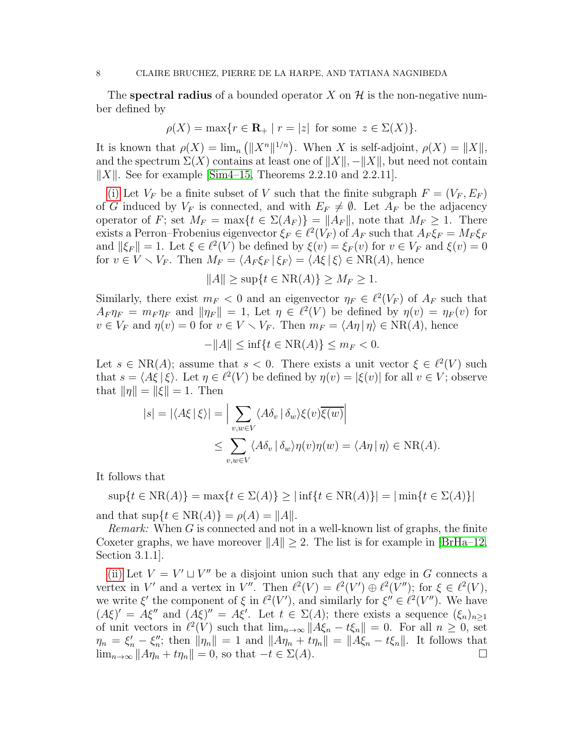The spectral radius of a bounded operator X on  $\mathcal H$  is the non-negative number defined by

$$
\rho(X) = \max\{r \in \mathbf{R}_+ \mid r = |z| \text{ for some } z \in \Sigma(X)\}.
$$

It is known that  $\rho(X) = \lim_{n} (||X^n||^{1/n})$ . When X is self-adjoint,  $\rho(X) = ||X||$ , and the spectrum  $\Sigma(X)$  contains at least one of  $||X||$ ,  $-||X||$ , but need not contain  $\|X\|$ . See for example [\[Sim4–15,](#page-38-5) Theorems 2.2.10 and 2.2.11].

[\(i\)](#page-6-3) Let  $V_F$  be a finite subset of V such that the finite subgraph  $F = (V_F, E_F)$ of G induced by  $V_F$  is connected, and with  $E_F \neq \emptyset$ . Let  $A_F$  be the adjacency operator of F; set  $M_F = \max\{t \in \Sigma(A_F)\} = ||A_F||$ , note that  $M_F \geq 1$ . There exists a Perron–Frobenius eigenvector  $\xi_F \in \ell^2(V_F)$  of  $A_F$  such that  $A_F \xi_F = M_F \xi_F$ and  $\|\xi_F\| = 1$ . Let  $\xi \in \ell^2(V)$  be defined by  $\xi(v) = \xi_F(v)$  for  $v \in V_F$  and  $\xi(v) = 0$ for  $v \in V \setminus V_F$ . Then  $M_F = \langle A_F \xi_F | \xi_F \rangle = \langle A \xi | \xi \rangle \in NR(A)$ , hence

$$
||A|| \ge \sup\{t \in \text{NR}(A)\} \ge M_F \ge 1.
$$

Similarly, there exist  $m_F < 0$  and an eigenvector  $\eta_F \in \ell^2(V_F)$  of  $A_F$  such that  $A_F \eta_F = m_F \eta_F$  and  $\|\eta_F\| = 1$ , Let  $\eta \in \ell^2(V)$  be defined by  $\eta(v) = \eta_F(v)$  for  $v \in V_F$  and  $\eta(v) = 0$  for  $v \in V \setminus V_F$ . Then  $m_F = \langle A\eta | \eta \rangle \in NR(A)$ , hence

$$
-\|A\| \le \inf\{t \in \text{NR}(A)\} \le m_F < 0.
$$

Let  $s \in NR(A);$  assume that  $s < 0$ . There exists a unit vector  $\xi \in \ell^2(V)$  such that  $s = \langle A\xi | \xi \rangle$ . Let  $\eta \in \ell^2(V)$  be defined by  $\eta(v) = |\xi(v)|$  for all  $v \in V$ ; observe that  $\|\eta\| = \|\xi\| = 1$ . Then

$$
|s| = |\langle A\xi | \xi \rangle| = \Big| \sum_{v,w \in V} \langle A\delta_v | \delta_w \rangle \xi(v) \overline{\xi(w)} \Big|
$$
  

$$
\leq \sum_{v,w \in V} \langle A\delta_v | \delta_w \rangle \eta(v) \eta(w) = \langle A\eta | \eta \rangle \in NR(A).
$$

It follows that

 $\sup\{t \in \text{NR}(A)\} = \max\{t \in \Sigma(A)\} \geq |\inf\{t \in \text{NR}(A)\}| = |\min\{t \in \Sigma(A)\}|$ 

and that  $\sup\{t \in NR(A)\} = \rho(A) = ||A||.$ 

*Remark:* When G is connected and not in a well-known list of graphs, the finite Coxeter graphs, we have moreover  $||A|| \geq 2$ . The list is for example in [\[BrHa–12,](#page-37-2) Section 3.1.1].

[\(ii\)](#page-6-4) Let  $V = V' \sqcup V''$  be a disjoint union such that any edge in G connects a vertex in V' and a vertex in V''. Then  $\ell^2(V) = \ell^2(V') \oplus \ell^2(V'')$ ; for  $\xi \in \ell^2(V)$ , we write  $\xi'$  the component of  $\xi$  in  $\ell^2(V')$ , and similarly for  $\xi'' \in \ell^2(V'')$ . We have  $(A\xi)' = A\xi''$  and  $(A\xi)'' = A\xi'$ . Let  $t \in \Sigma(A)$ ; there exists a sequence  $(\xi_n)_{n \geq 1}$ of unit vectors in  $\ell^2(V)$  such that  $\lim_{n\to\infty} ||A\xi_n - t\xi_n|| = 0$ . For all  $n \geq 0$ , set  $\eta_n = \xi'_n - \xi''_n$ ; then  $\|\eta_n\| = 1$  and  $\|A\eta_n + t\eta_n\| = \|A\xi_n - t\xi_n\|$ . It follows that  $\lim_{n\to\infty} ||A\eta_n + t\eta_n|| = 0$ , so that  $-t \in \Sigma(A)$ .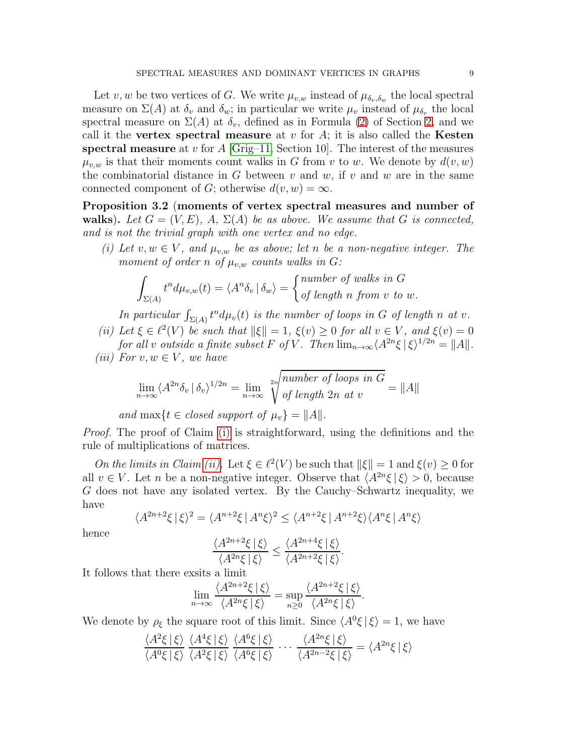Let v, w be two vertices of G. We write  $\mu_{v,w}$  instead of  $\mu_{\delta_v,\delta_w}$  the local spectral measure on  $\Sigma(A)$  at  $\delta_v$  and  $\delta_w$ ; in particular we write  $\mu_v$  instead of  $\mu_{\delta_v}$  the local spectral measure on  $\Sigma(A)$  at  $\delta_v$ , defined as in Formula [\(2\)](#page-2-0) of Section [2,](#page-1-1) and we call it the vertex spectral measure at  $v$  for  $A$ ; it is also called the Kesten spectral measure at v for  $A$  [\[Grig–11,](#page-38-8) Section 10]. The interest of the measures  $\mu_{v,w}$  is that their moments count walks in G from v to w. We denote by  $d(v, w)$ the combinatorial distance in G between  $v$  and  $w$ , if  $v$  and  $w$  are in the same connected component of G; otherwise  $d(v, w) = \infty$ .

<span id="page-8-3"></span>Proposition 3.2 (moments of vertex spectral measures and number of walks). Let  $G = (V, E)$ , A,  $\Sigma(A)$  be as above. We assume that G is connected, *and is not the trivial graph with one vertex and no edge.*

<span id="page-8-0"></span>*(i)* Let  $v, w \in V$ , and  $\mu_{v,w}$  be as above; let n be a non-negative integer. The *moment of order n of*  $\mu_{v,w}$  *counts walks in G*:

$$
\int_{\Sigma(A)} t^n d\mu_{v,w}(t) = \langle A^n \delta_v | \delta_w \rangle = \begin{cases} \text{number of walks in } G \\ \text{of length } n \text{ from } v \text{ to } w. \end{cases}
$$

In particular  $\int_{\Sigma(A)} t^n d\mu_v(t)$  *is the number of loops in* G *of length n at v*.

- <span id="page-8-1"></span>(*ii*) Let  $\xi \in \ell^2(V)$  be such that  $\|\xi\| = 1$ ,  $\xi(v) \ge 0$  for all  $v \in V$ , and  $\xi(v) = 0$ *for all v outside a finite subset* F *of* V. Then  $\lim_{n\to\infty} \langle A^{2n}\xi | \xi \rangle^{1/2n} = ||A||$ .
- <span id="page-8-2"></span>*(iii)* For  $v, w \in V$ , we have

lim<sup>n</sup>→∞ hA 2n δ<sup>v</sup> | δvi <sup>1</sup>/2<sup>n</sup> = lim<sup>n</sup>→∞ 2n s *number of loops in* G *of length* 2n *at* v = kAk

*and* max $\{t \in closed \ support \ of \  $\mu_v\} = \|A\|.$$ 

*Proof.* The proof of Claim [\(i\)](#page-8-0) is straightforward, using the definitions and the rule of multiplications of matrices.

*On the limits in Claim [\(ii\).](#page-8-1)* Let  $\xi \in \ell^2(V)$  be such that  $||\xi|| = 1$  and  $\xi(v) \ge 0$  for all  $v \in V$ . Let *n* be a non-negative integer. Observe that  $\langle A^{2n}\xi | \xi \rangle > 0$ , because G does not have any isolated vertex. By the Cauchy–Schwartz inequality, we have

$$
\langle A^{2n+2}\xi \,|\,\xi\rangle^2 = \langle A^{n+2}\xi \,|\, A^n\xi\rangle^2 \le \langle A^{n+2}\xi \,|\, A^{n+2}\xi\rangle \langle A^n\xi \,|\, A^n\xi\rangle
$$

hence

$$
\frac{\langle A^{2n+2}\xi\,|\,\xi\rangle}{\langle A^{2n}\xi\,|\,\xi\rangle}\leq \frac{\langle A^{2n+4}\xi\,|\,\xi\rangle}{\langle A^{2n+2}\xi\,|\,\xi\rangle}.
$$

It follows that there exsits a limit

$$
\lim_{n \to \infty} \frac{\langle A^{2n+2}\xi \mid \xi \rangle}{\langle A^{2n}\xi \mid \xi \rangle} = \sup_{n \ge 0} \frac{\langle A^{2n+2}\xi \mid \xi \rangle}{\langle A^{2n}\xi \mid \xi \rangle}.
$$

We denote by  $\rho_{\xi}$  the square root of this limit. Since  $\langle A^{0}\xi | \xi \rangle = 1$ , we have

$$
\frac{\langle A^2\xi|\xi\rangle}{\langle A^0\xi|\xi\rangle} \frac{\langle A^4\xi|\xi\rangle}{\langle A^2\xi|\xi\rangle} \frac{\langle A^6\xi|\xi\rangle}{\langle A^6\xi|\xi\rangle} \cdots \frac{\langle A^{2n}\xi|\xi\rangle}{\langle A^{2n-2}\xi|\xi\rangle} = \langle A^{2n}\xi|\xi\rangle
$$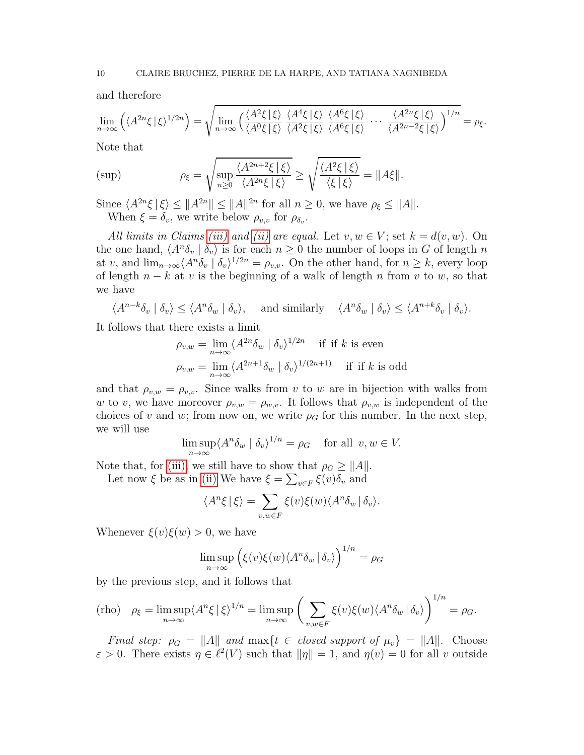and therefore

$$
\lim_{n \to \infty} \left( \langle A^{2n} \xi | \xi \rangle^{1/2n} \right) = \sqrt{\lim_{n \to \infty} \left( \frac{\langle A^2 \xi | \xi \rangle}{\langle A^0 \xi | \xi \rangle} \frac{\langle A^4 \xi | \xi \rangle}{\langle A^2 \xi | \xi \rangle} \frac{\langle A^6 \xi | \xi \rangle}{\langle A^6 \xi | \xi \rangle} \cdots \frac{\langle A^{2n} \xi | \xi \rangle}{\langle A^{2n-2} \xi | \xi \rangle} \right)^{1/n}} = \rho_{\xi}.
$$

Note that

$$
\text{(sup)} \qquad \qquad \rho_{\xi} = \sqrt{\sup_{n\geq 0} \frac{\langle A^{2n+2}\xi \mid \xi \rangle}{\langle A^{2n}\xi \mid \xi \rangle}} \geq \sqrt{\frac{\langle A^{2}\xi \mid \xi \rangle}{\langle \xi \mid \xi \rangle}} = \|A\xi\|.
$$

Since  $\langle A^{2n}\xi | \xi \rangle \leq ||A^{2n}|| \leq ||A||^{2n}$  for all  $n \geq 0$ , we have  $\rho_{\xi} \leq ||A||$ . When  $\xi = \delta_v$ , we write below  $\rho_{v,v}$  for  $\rho_{\delta_v}$ .

*All limits in Claims [\(iii\)](#page-8-2)* and *(ii)* are equal. Let  $v, w \in V$ ; set  $k = d(v, w)$ . On the one hand,  $\langle A^n \delta_v | \delta_v \rangle$  is for each  $n \geq 0$  the number of loops in G of length n at v, and  $\lim_{n\to\infty}\langle A^n\delta_v | \delta_v \rangle^{1/2n} = \rho_{v,v}$ . On the other hand, for  $n \geq k$ , every loop of length  $n - k$  at v is the beginning of a walk of length n from v to w, so that we have

$$
\langle A^{n-k}\delta_v \mid \delta_v \rangle \le \langle A^n \delta_w \mid \delta_v \rangle, \quad \text{ and similarly} \quad \langle A^n \delta_w \mid \delta_v \rangle \le \langle A^{n+k} \delta_v \mid \delta_v \rangle.
$$

It follows that there exists a limit

$$
\rho_{v,w} = \lim_{n \to \infty} \langle A^{2n} \delta_w \mid \delta_v \rangle^{1/2n} \quad \text{if if } k \text{ is even}
$$

$$
\rho_{v,w} = \lim_{n \to \infty} \langle A^{2n+1} \delta_w \mid \delta_v \rangle^{1/(2n+1)} \quad \text{if if } k \text{ is odd}
$$

and that  $\rho_{v,w} = \rho_{v,v}$ . Since walks from v to w are in bijection with walks from w to v, we have moreover  $\rho_{v,w} = \rho_{w,v}$ . It follows that  $\rho_{v,w}$  is independent of the choices of v and w; from now on, we write  $\rho_G$  for this number. In the next step, we will use

$$
\limsup_{n \to \infty} \langle A^n \delta_w \mid \delta_v \rangle^{1/n} = \rho_G \quad \text{for all } v, w \in V.
$$

Note that, for [\(iii\),](#page-8-2) we still have to show that  $\rho_G \geq ||A||$ .

Let now 
$$
\xi
$$
 be as in (ii) We have  $\xi = \sum_{v \in F} \xi(v) \delta_v$  and

$$
\langle A^n \xi | \xi \rangle = \sum_{v, w \in F} \xi(v) \xi(w) \langle A^n \delta_w | \delta_v \rangle.
$$

Whenever  $\xi(v)\xi(w) > 0$ , we have

$$
\limsup_{n \to \infty} (\xi(v)\xi(w)\langle A^n \delta_w | \delta_v \rangle)^{1/n} = \rho_G
$$

by the previous step, and it follows that

(rho) 
$$
\rho_{\xi} = \limsup_{n \to \infty} \langle A^n \xi | \xi \rangle^{1/n} = \limsup_{n \to \infty} \left( \sum_{v,w \in F} \xi(v) \xi(w) \langle A^n \delta_w | \delta_v \rangle \right)^{1/n} = \rho_G.
$$

*Final step:*  $\rho_G = ||A||$  *and*  $\max\{t \in closed \text{ support of } \mu_v\} = ||A||$ . Choose  $\varepsilon > 0$ . There exists  $\eta \in \ell^2(V)$  such that  $\|\eta\| = 1$ , and  $\eta(v) = 0$  for all v outside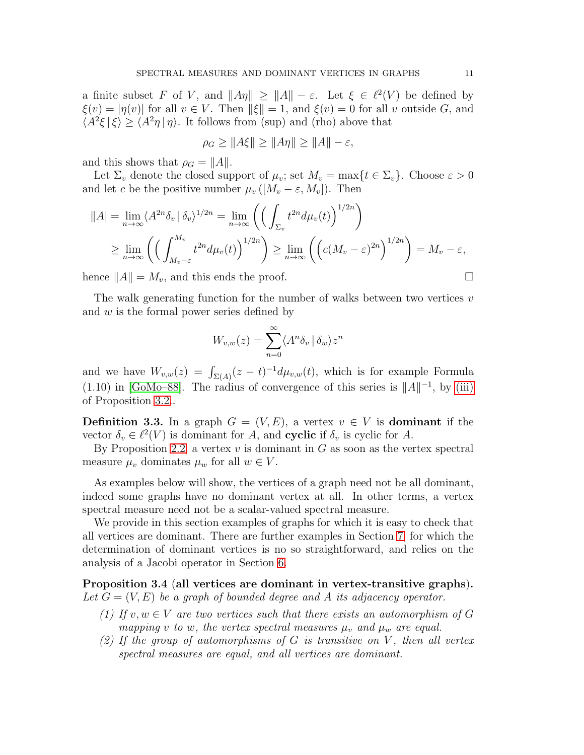a finite subset F of V, and  $||A\eta|| \ge ||A|| - \varepsilon$ . Let  $\xi \in \ell^2(V)$  be defined by  $\xi(v) = |\eta(v)|$  for all  $v \in V$ . Then  $\|\xi\| = 1$ , and  $\xi(v) = 0$  for all v outside G, and  $\langle A^2 \xi | \xi \rangle \ge \langle A^2 \eta | \eta \rangle$ . It follows from (sup) and (rho) above that

$$
\rho_G \ge ||A\xi|| \ge ||A\eta|| \ge ||A|| - \varepsilon,
$$

and this shows that  $\rho_G = ||A||$ .

Let  $\Sigma_v$  denote the closed support of  $\mu_v$ ; set  $M_v = \max\{t \in \Sigma_v\}$ . Choose  $\varepsilon > 0$ and let c be the positive number  $\mu_v([M_v - \varepsilon, M_v])$ . Then

$$
||A| = \lim_{n \to \infty} \langle A^{2n} \delta_v | \delta_v \rangle^{1/2n} = \lim_{n \to \infty} \left( \left( \int_{\Sigma_v} t^{2n} d\mu_v(t) \right)^{1/2n} \right)
$$
  

$$
\geq \lim_{n \to \infty} \left( \left( \int_{M_v - \varepsilon}^{M_v} t^{2n} d\mu_v(t) \right)^{1/2n} \right) \geq \lim_{n \to \infty} \left( \left( c(M_v - \varepsilon)^{2n} \right)^{1/2n} \right) = M_v - \varepsilon,
$$

hence  $||A|| = M_v$ , and this ends the proof.

The walk generating function for the number of walks between two vertices  $v$ and  $w$  is the formal power series defined by

$$
W_{v,w}(z) = \sum_{n=0}^{\infty} \langle A^n \delta_v | \delta_w \rangle z^n
$$

and we have  $W_{v,w}(z) = \int_{\Sigma(A)} (z-t)^{-1} d\mu_{v,w}(t)$ , which is for example Formula (1.10) in [\[GoMo–88\]](#page-38-2). The radius of convergence of this series is  $||A||^{-1}$ , by [\(iii\)](#page-8-2) of Proposition [3.2.](#page-8-3).

<span id="page-10-0"></span>**Definition 3.3.** In a graph  $G = (V, E)$ , a vertex  $v \in V$  is **dominant** if the vector  $\delta_v \in \ell^2(V)$  is dominant for A, and **cyclic** if  $\delta_v$  is cyclic for A.

By Proposition [2.2,](#page-3-5) a vertex  $v$  is dominant in  $G$  as soon as the vertex spectral measure  $\mu_v$  dominates  $\mu_w$  for all  $w \in V$ .

As examples below will show, the vertices of a graph need not be all dominant, indeed some graphs have no dominant vertex at all. In other terms, a vertex spectral measure need not be a scalar-valued spectral measure.

We provide in this section examples of graphs for which it is easy to check that all vertices are dominant. There are further examples in Section [7,](#page-32-0) for which the determination of dominant vertices is no so straightforward, and relies on the analysis of a Jacobi operator in Section [6.](#page-26-0)

<span id="page-10-3"></span><span id="page-10-1"></span>Proposition 3.4 (all vertices are dominant in vertex-transitive graphs). Let  $G = (V, E)$  be a graph of bounded degree and A its adjacency operator.

- *(1) If*  $v, w \in V$  *are two vertices such that there exists an automorphism of* G *mapping* v *to* w, the vertex spectral measures  $\mu_v$  and  $\mu_w$  are equal.
- <span id="page-10-2"></span>*(2) If the group of automorphisms of* G *is transitive on* V *, then all vertex spectral measures are equal, and all vertices are dominant.*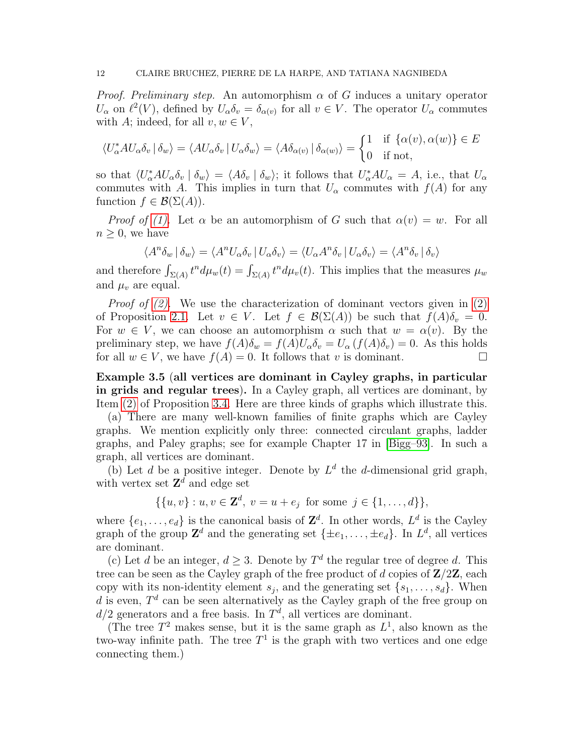*Proof. Preliminary step.* An automorphism  $\alpha$  of G induces a unitary operator  $U_{\alpha}$  on  $\ell^2(V)$ , defined by  $U_{\alpha}\delta_v = \delta_{\alpha(v)}$  for all  $v \in V$ . The operator  $U_{\alpha}$  commutes with A; indeed, for all  $v, w \in V$ ,

$$
\langle U_{\alpha}^* A U_{\alpha} \delta_v | \delta_w \rangle = \langle A U_{\alpha} \delta_v | U_{\alpha} \delta_w \rangle = \langle A \delta_{\alpha(v)} | \delta_{\alpha(w)} \rangle = \begin{cases} 1 & \text{if } {\{\alpha(v), \alpha(w)\}} \in E \\ 0 & \text{if not,} \end{cases}
$$

so that  $\langle U_{\alpha}^* A U_{\alpha} \delta_v | \delta_w \rangle = \langle A \delta_v | \delta_w \rangle$ ; it follows that  $U_{\alpha}^* A U_{\alpha} = A$ , i.e., that  $U_{\alpha}$ commutes with A. This implies in turn that  $U_{\alpha}$  commutes with  $f(A)$  for any function  $f \in \mathcal{B}(\Sigma(A)).$ 

*Proof of [\(1\).](#page-10-1)* Let  $\alpha$  be an automorphism of G such that  $\alpha(v) = w$ . For all  $n \geq 0$ , we have

$$
\langle A^n \delta_w | \delta_w \rangle = \langle A^n U_\alpha \delta_v | U_\alpha \delta_v \rangle = \langle U_\alpha A^n \delta_v | U_\alpha \delta_v \rangle = \langle A^n \delta_v | \delta_v \rangle
$$

and therefore  $\int_{\Sigma(A)} t^n d\mu_w(t) = \int_{\Sigma(A)} t^n d\mu_v(t)$ . This implies that the measures  $\mu_w$ and  $\mu_v$  are equal.

*Proof of [\(2\).](#page-10-2)* We use the characterization of dominant vectors given in [\(2\)](#page-3-2) of Proposition [2.1.](#page-3-0) Let  $v \in V$ . Let  $f \in \mathcal{B}(\Sigma(A))$  be such that  $f(A)\delta_v = 0$ . For  $w \in V$ , we can choose an automorphism  $\alpha$  such that  $w = \alpha(v)$ . By the preliminary step, we have  $f(A)\delta_w = f(A)U_\alpha \delta_v = U_\alpha (f(A)\delta_v) = 0$ . As this holds for all  $w \in V$ , we have  $f(A) = 0$ . It follows that v is dominant.

<span id="page-11-0"></span>Example 3.5 (all vertices are dominant in Cayley graphs, in particular in grids and regular trees). In a Cayley graph, all vertices are dominant, by Item [\(2\)](#page-10-2) of Proposition [3.4.](#page-10-3) Here are three kinds of graphs which illustrate this.

(a) There are many well-known families of finite graphs which are Cayley graphs. We mention explicitly only three: connected circulant graphs, ladder graphs, and Paley graphs; see for example Chapter 17 in [\[Bigg–93\]](#page-37-1). In such a graph, all vertices are dominant.

(b) Let d be a positive integer. Denote by  $L^d$  the d-dimensional grid graph, with vertex set  $\mathbf{Z}^d$  and edge set

$$
\{\{u, v\} : u, v \in \mathbf{Z}^d, \ v = u + e_j \text{ for some } j \in \{1, \dots, d\}\},\
$$

where  $\{e_1, \ldots, e_d\}$  is the canonical basis of  $\mathbb{Z}^d$ . In other words,  $L^d$  is the Cayley graph of the group  $\mathbb{Z}^d$  and the generating set  $\{\pm e_1, \ldots, \pm e_d\}$ . In  $L^d$ , all vertices are dominant.

(c) Let d be an integer,  $d \geq 3$ . Denote by  $T^d$  the regular tree of degree d. This tree can be seen as the Cayley graph of the free product of d copies of  $\mathbb{Z}/2\mathbb{Z}$ , each copy with its non-identity element  $s_j$ , and the generating set  $\{s_1, \ldots, s_d\}$ . When d is even,  $T<sup>d</sup>$  can be seen alternatively as the Cayley graph of the free group on  $d/2$  generators and a free basis. In  $T<sup>d</sup>$ , all vertices are dominant.

(The tree  $T^2$  makes sense, but it is the same graph as  $L^1$ , also known as the two-way infinite path. The tree  $T^1$  is the graph with two vertices and one edge connecting them.)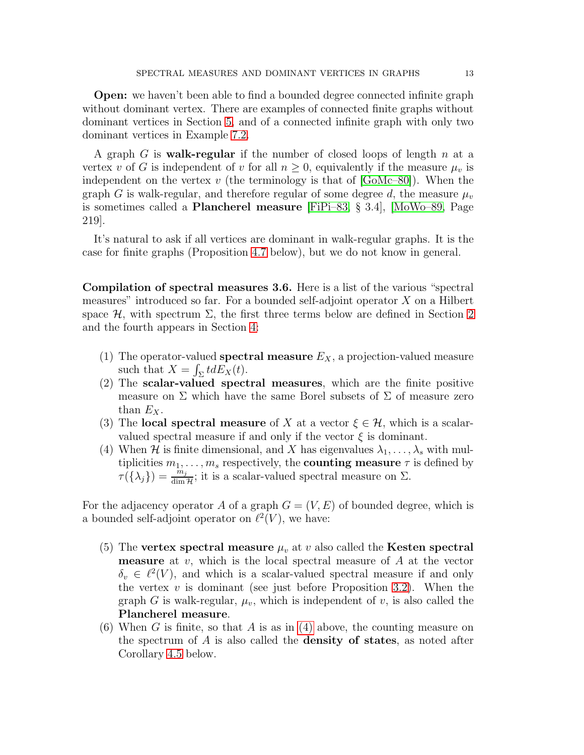Open: we haven't been able to find a bounded degree connected infinite graph without dominant vertex. There are examples of connected finite graphs without dominant vertices in Section [5,](#page-18-0) and of a connected infinite graph with only two dominant vertices in Example [7.2.](#page-34-0)

A graph  $G$  is walk-regular if the number of closed loops of length  $n$  at a vertex v of G is independent of v for all  $n \geq 0$ , equivalently if the measure  $\mu_v$  is independent on the vertex v (the terminology is that of  $[GoMc-80]$ ). When the graph G is walk-regular, and therefore regular of some degree d, the measure  $\mu_v$ is sometimes called a Plancherel measure [\[FiPi–83,](#page-38-10) § 3.4], [\[MoWo–89,](#page-38-3) Page 219].

It's natural to ask if all vertices are dominant in walk-regular graphs. It is the case for finite graphs (Proposition [4.7](#page-17-0) below), but we do not know in general.

<span id="page-12-0"></span>Compilation of spectral measures 3.6. Here is a list of the various "spectral measures" introduced so far. For a bounded self-adjoint operator X on a Hilbert space  $H$ , with spectrum  $\Sigma$ , the first three terms below are defined in Section [2](#page-1-1) and the fourth appears in Section [4:](#page-13-0)

- (1) The operator-valued **spectral measure**  $E_X$ , a projection-valued measure such that  $X = \int_{\Sigma} t dE_X(t)$ .
- (2) The scalar-valued spectral measures, which are the finite positive measure on  $\Sigma$  which have the same Borel subsets of  $\Sigma$  of measure zero than  $E_X$ .
- <span id="page-12-1"></span>(3) The local spectral measure of X at a vector  $\xi \in \mathcal{H}$ , which is a scalarvalued spectral measure if and only if the vector  $\xi$  is dominant.
- (4) When H is finite dimensional, and X has eigenvalues  $\lambda_1, \ldots, \lambda_s$  with multiplicities  $m_1, \ldots, m_s$  respectively, the **counting measure**  $\tau$  is defined by  $\tau(\{\lambda_j\}) = \frac{m_j}{\dim \mathcal{H}}$ ; it is a scalar-valued spectral measure on  $\Sigma$ .

For the adjacency operator A of a graph  $G = (V, E)$  of bounded degree, which is a bounded self-adjoint operator on  $\ell^2(V)$ , we have:

- (5) The vertex spectral measure  $\mu_v$  at v also called the Kesten spectral **measure** at  $v$ , which is the local spectral measure of  $A$  at the vector  $\delta_v \in \ell^2(V)$ , and which is a scalar-valued spectral measure if and only the vertex  $v$  is dominant (see just before Proposition [3.2\)](#page-8-3). When the graph G is walk-regular,  $\mu_v$ , which is independent of v, is also called the Plancherel measure.
- (6) When G is finite, so that A is as in [\(4\)](#page-12-1) above, the counting measure on the spectrum of  $\tilde{A}$  is also called the **density of states**, as noted after Corollary [4.5](#page-16-0) below.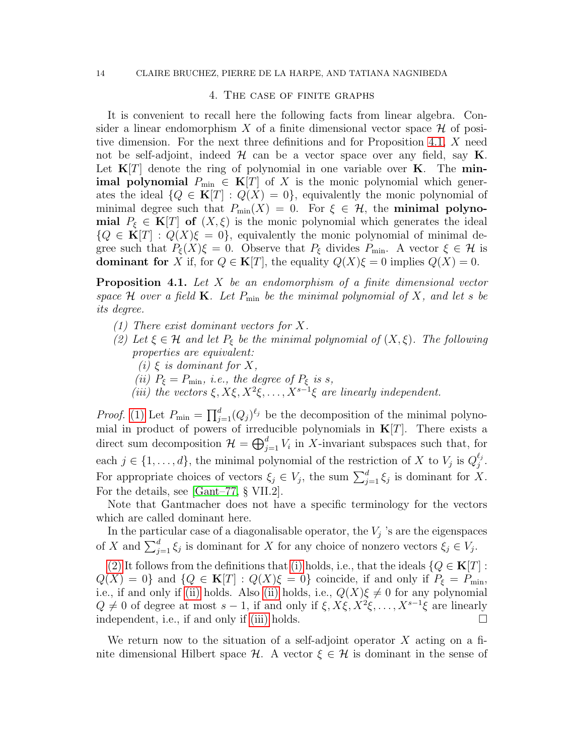#### <span id="page-13-0"></span>14 CLAIRE BRUCHEZ, PIERRE DE LA HARPE, AND TATIANA NAGNIBEDA

#### 4. The case of finite graphs

It is convenient to recall here the following facts from linear algebra. Consider a linear endomorphism X of a finite dimensional vector space  $\mathcal H$  of positive dimension. For the next three definitions and for Proposition [4.1,](#page-13-1) X need not be self-adjoint, indeed  $\mathcal H$  can be a vector space over any field, say  $\mathbf K$ . Let  $K[T]$  denote the ring of polynomial in one variable over K. The min**imal polynomial**  $P_{\min} \in \mathbf{K}[T]$  of X is the monic polynomial which generates the ideal  ${Q \in \mathbf{K}[T] : Q(X) = 0}$ , equivalently the monic polynomial of minimal degree such that  $P_{\min}(X) = 0$ . For  $\xi \in \mathcal{H}$ , the **minimal polynomial**  $P_{\xi} \in \mathbf{K}[T]$  of  $(X,\xi)$  is the monic polynomial which generates the ideal  ${Q \in \mathbf{K}[T] : Q(X)\xi = 0},$  equivalently the monic polynomial of minimal degree such that  $P_{\xi}(X)\xi = 0$ . Observe that  $P_{\xi}$  divides  $P_{\min}$ . A vector  $\xi \in \mathcal{H}$  is **dominant for** X if, for  $Q \in \mathbf{K}[T]$ , the equality  $Q(X)\xi = 0$  implies  $Q(X) = 0$ .

<span id="page-13-1"></span>Proposition 4.1. *Let* X *be an endomorphism of a finite dimensional vector space*  $H$  *over a field*  $K$ *. Let*  $P_{\min}$  *be the minimal polynomial of*  $X$ *, and let s be its degree.*

- <span id="page-13-3"></span><span id="page-13-2"></span>*(1) There exist dominant vectors for* X*.*
- <span id="page-13-5"></span><span id="page-13-4"></span>*(2)* Let  $\xi \in \mathcal{H}$  and let  $P_{\xi}$  be the minimal polynomial of  $(X, \xi)$ . The following *properties are equivalent:*
	- $(i) \xi$  *is dominant for*  $X$ *,*
	- *(ii)*  $P_{\xi} = P_{\min}$ *, i.e., the degree of*  $P_{\xi}$  *is s,*
	- (*iii*) the vectors  $\xi, X\xi, X^2\xi, \ldots, X^{s-1}\xi$  are linearly independent.

<span id="page-13-6"></span>*Proof.* [\(1\)](#page-13-2) Let  $P_{\min} = \prod_{j=1}^{d} (Q_j)^{\ell_j}$  be the decomposition of the minimal polynomial in product of powers of irreducible polynomials in  $K[T]$ . There exists a direct sum decomposition  $\mathcal{H} = \bigoplus_{j=1}^d V_i$  in X-invariant subspaces such that, for each  $j \in \{1, ..., d\}$ , the minimal polynomial of the restriction of X to  $V_j$  is  $Q_j^{\ell_j}$  $\frac{\epsilon_j}{j}$  . For appropriate choices of vectors  $\xi_j \in V_j$ , the sum  $\sum_{j=1}^d \xi_j$  is dominant for X. For the details, see [\[Gant–77,](#page-38-11) § VII.2].

Note that Gantmacher does not have a specific terminology for the vectors which are called dominant here.

In the particular case of a diagonalisable operator, the  $V_j$  's are the eigenspaces of X and  $\sum_{j=1}^d \xi_j$  is dominant for X for any choice of nonzero vectors  $\xi_j \in V_j$ .

[\(2\)](#page-13-3) It follows from the definitions that [\(i\)](#page-13-4) holds, i.e., that the ideals  ${Q \in \mathbf{K}[T]}$ :  $Q(X) = 0$  and  $\{Q \in \mathbf{K}[T] : Q(X)\xi = 0\}$  coincide, if and only if  $P_{\xi} = P_{\min}$ , i.e., if and only if [\(ii\)](#page-13-5) holds. Also (ii) holds, i.e.,  $Q(X)\xi \neq 0$  for any polynomial  $Q \neq 0$  of degree at most  $s - 1$ , if and only if  $\xi, X\xi, X^2\xi, \ldots, X^{s-1}\xi$  are linearly independent, i.e., if and only if [\(iii\)](#page-13-6) holds.  $\Box$ 

We return now to the situation of a self-adjoint operator  $X$  acting on a finite dimensional Hilbert space  $\mathcal{H}$ . A vector  $\xi \in \mathcal{H}$  is dominant in the sense of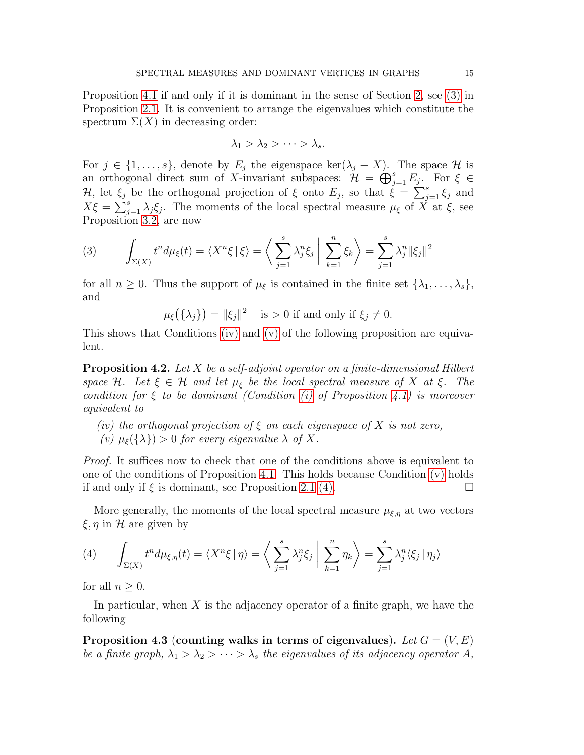Proposition [4.1](#page-13-1) if and only if it is dominant in the sense of Section [2,](#page-1-1) see [\(3\)](#page-3-3) in Proposition [2.1.](#page-3-0) It is convenient to arrange the eigenvalues which constitute the spectrum  $\Sigma(X)$  in decreasing order:

$$
\lambda_1 > \lambda_2 > \cdots > \lambda_s.
$$

For  $j \in \{1, \ldots, s\}$ , denote by  $E_j$  the eigenspace ker $(\lambda_j - X)$ . The space  $\mathcal H$  is an orthogonal direct sum of X-invariant subspaces:  $\mathcal{H} = \bigoplus_{j=1}^s E_j$ . For  $\xi \in$ H, let  $\xi_j$  be the orthogonal projection of  $\xi$  onto  $E_j$ , so that  $\dot{\xi} = \sum_{j=1}^s \xi_j$  and  $X\xi = \sum_{j=1}^s \lambda_j \xi_j$ . The moments of the local spectral measure  $\mu_{\xi}$  of  $\overrightarrow{X}$  at  $\overline{\xi}$ , see Proposition [3.2,](#page-8-3) are now

(3) 
$$
\int_{\Sigma(X)} t^n d\mu_{\xi}(t) = \langle X^n \xi | \xi \rangle = \left\langle \sum_{j=1}^s \lambda_j^n \xi_j | \sum_{k=1}^n \xi_k \right\rangle = \sum_{j=1}^s \lambda_j^n ||\xi_j||^2
$$

for all  $n \geq 0$ . Thus the support of  $\mu_{\xi}$  is contained in the finite set  $\{\lambda_1, \ldots, \lambda_s\},\$ and

 $\mu_{\xi}(\{\lambda_j\}) = \|\xi_j\|^2 \quad \text{ is } > 0 \text{ if and only if } \xi_j \neq 0.$ 

This shows that Conditions [\(iv\)](#page-14-0) and [\(v\)](#page-14-1) of the following proposition are equivalent.

Proposition 4.2. *Let* X *be a self-adjoint operator on a finite-dimensional Hilbert space* H. Let  $\xi \in H$  *and let*  $\mu_{\xi}$  *be the local spectral measure of* X *at*  $\xi$ . The *condition for* ξ *to be dominant (Condition [\(i\)](#page-13-4) of Proposition [4.1\)](#page-13-1) is moreover equivalent to*

- <span id="page-14-1"></span><span id="page-14-0"></span>*(iv) the orthogonal projection of* ξ *on each eigenspace of* X *is not zero,*
- *(v)*  $\mu_{\xi}(\{\lambda\}) > 0$  *for every eigenvalue*  $\lambda$  *of* X.

*Proof.* It suffices now to check that one of the conditions above is equivalent to one of the conditions of Proposition [4.1.](#page-13-1) This holds because Condition  $(v)$  holds if and only if  $\xi$  is dominant, see Proposition [2.1](#page-3-0) [\(4\).](#page-3-4)

More generally, the moments of the local spectral measure  $\mu_{\xi,\eta}$  at two vectors  $\xi, \eta$  in H are given by

(4) 
$$
\int_{\Sigma(X)} t^n d\mu_{\xi,\eta}(t) = \langle X^n \xi | \eta \rangle = \left\langle \sum_{j=1}^s \lambda_j^n \xi_j \middle| \sum_{k=1}^n \eta_k \right\rangle = \sum_{j=1}^s \lambda_j^n \langle \xi_j | \eta_j \rangle
$$

for all  $n \geq 0$ .

In particular, when  $X$  is the adjacency operator of a finite graph, we have the following

<span id="page-14-2"></span>Proposition 4.3 (counting walks in terms of eigenvalues). Let  $G = (V, E)$ *be a finite graph,*  $\lambda_1 > \lambda_2 > \cdots > \lambda_s$  *the eigenvalues of its adjacency operator* A,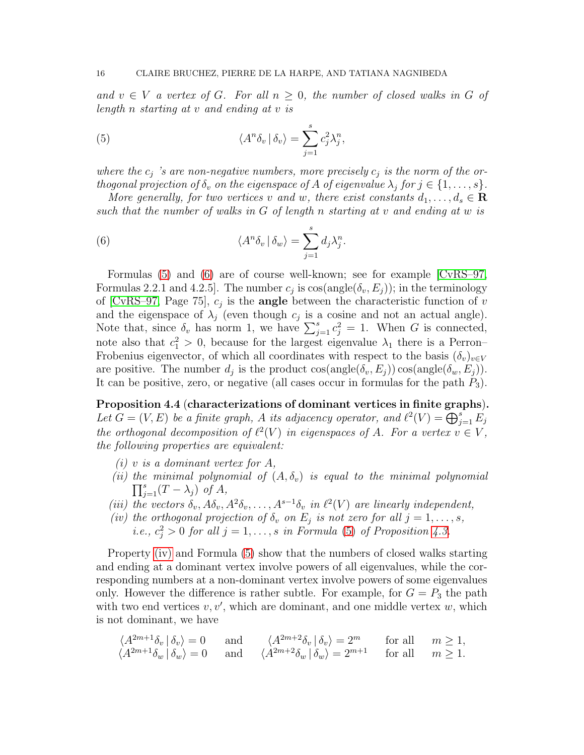*and*  $v \in V$  *a vertex of G. For all*  $n \geq 0$ *, the number of closed walks in G of length* n *starting at* v *and ending at* v *is*

<span id="page-15-1"></span>(5) 
$$
\langle A^n \delta_v | \delta_v \rangle = \sum_{j=1}^s c_j^2 \lambda_j^n,
$$

where the  $c_j$  's are non-negative numbers, more precisely  $c_j$  is the norm of the or*thogonal projection of*  $\delta_v$  *on the eigenspace of* A *of eigenvalue*  $\lambda_j$  *for*  $j \in \{1, \ldots, s\}$ *.* 

*More generally, for two vertices* v and w, there exist constants  $d_1, \ldots, d_s \in \mathbf{R}$ *such that the number of walks in* G *of length* n *starting at* v *and ending at* w *is*

<span id="page-15-2"></span>(6) 
$$
\langle A^n \delta_v | \delta_w \rangle = \sum_{j=1}^s d_j \lambda_j^n.
$$

Formulas [\(5\)](#page-15-1) and [\(6\)](#page-15-2) are of course well-known; see for example [\[CvRS–97,](#page-37-8) Formulas 2.2.1 and 4.2.5. The number  $c_j$  is  $\cos(\text{angle}(\delta_v, E_j))$ ; in the terminology of [\[CvRS–97,](#page-37-8) Page 75],  $c_j$  is the **angle** between the characteristic function of v and the eigenspace of  $\lambda_j$  (even though  $c_j$  is a cosine and not an actual angle). Note that, since  $\delta_v$  has norm 1, we have  $\sum_{j=1}^s c_j^2 = 1$ . When G is connected, note also that  $c_1^2 > 0$ , because for the largest eigenvalue  $\lambda_1$  there is a Perron– Frobenius eigenvector, of which all coordinates with respect to the basis  $(\delta_v)_{v\in V}$ are positive. The number  $d_j$  is the product  $\cos(\text{angle}(\delta_v, E_j)) \cos(\text{angle}(\delta_w, E_j)).$ It can be positive, zero, or negative (all cases occur in formulas for the path  $P_3$ ).

<span id="page-15-0"></span>Proposition 4.4 (characterizations of dominant vertices in finite graphs). Let  $G = (V, E)$  be a finite graph, A its adjacency operator, and  $\ell^2(V) = \bigoplus_{j=1}^s E_j$ *the orthogonal decomposition of*  $\ell^2(V)$  *in eigenspaces of* A*. For a vertex*  $v \in V$ *, the following properties are equivalent:*

- *(i)* v *is a dominant vertex for* A*,*
- (*ii*) the minimal polynomial of  $(A, \delta_v)$  is equal to the minimal polynomial  $\prod_{j=1}^{s}(T-\lambda_j)$  *of*  $A$ *,*
- <span id="page-15-4"></span><span id="page-15-3"></span>(*iii*) the vectors  $\delta_v$ ,  $A\delta_v$ ,  $A^2\delta_v$ , ...,  $A^{s-1}\delta_v$  *in*  $\ell^2(V)$  *are linearly independent,*
- *(iv)* the orthogonal projection of  $\delta_v$  on  $E_j$  is not zero for all  $j = 1, \ldots, s$ , *i.e.,*  $c_j^2 > 0$  *for all*  $j = 1, \ldots, s$  *in Formula* [\(5\)](#page-15-1) *of Proposition [4.3.](#page-14-2)*

Property [\(iv\)](#page-15-3) and Formula [\(5\)](#page-15-1) show that the numbers of closed walks starting and ending at a dominant vertex involve powers of all eigenvalues, while the corresponding numbers at a non-dominant vertex involve powers of some eigenvalues only. However the difference is rather subtle. For example, for  $G = P_3$  the path with two end vertices  $v, v'$ , which are dominant, and one middle vertex  $w$ , which is not dominant, we have

$$
\langle A^{2m+1}\delta_v | \delta_v \rangle = 0 \quad \text{and} \quad \langle A^{2m+2}\delta_v | \delta_v \rangle = 2^m \quad \text{for all} \quad m \ge 1,
$$
  

$$
\langle A^{2m+1}\delta_w | \delta_w \rangle = 0 \quad \text{and} \quad \langle A^{2m+2}\delta_w | \delta_w \rangle = 2^{m+1} \quad \text{for all} \quad m \ge 1.
$$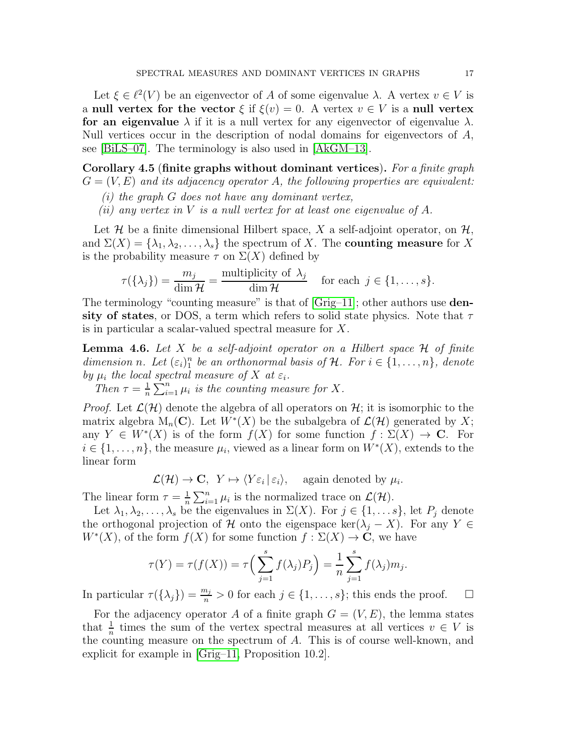Let  $\xi \in \ell^2(V)$  be an eigenvector of A of some eigenvalue  $\lambda$ . A vertex  $v \in V$  is a null vertex for the vector  $\xi$  if  $\xi(v) = 0$ . A vertex  $v \in V$  is a null vertex for an eigenvalue  $\lambda$  if it is a null vertex for any eigenvector of eigenvalue  $\lambda$ . Null vertices occur in the description of nodal domains for eigenvectors of A, see [\[BiLS–07\]](#page-37-9). The terminology is also used in [\[AkGM–13\]](#page-37-10).

<span id="page-16-0"></span>Corollary 4.5 (finite graphs without dominant vertices). *For a finite graph*  $G = (V, E)$  *and its adjacency operator* A, the following properties are equivalent:

- *(i) the graph* G *does not have any dominant vertex,*
- *(ii) any vertex in* V *is a null vertex for at least one eigenvalue of* A*.*

Let  $\mathcal H$  be a finite dimensional Hilbert space, X a self-adjoint operator, on  $\mathcal H$ , and  $\Sigma(X) = {\lambda_1, \lambda_2, ..., \lambda_s}$  the spectrum of X. The **counting measure** for X is the probability measure  $\tau$  on  $\Sigma(X)$  defined by

$$
\tau(\{\lambda_j\}) = \frac{m_j}{\dim \mathcal{H}} = \frac{\text{multiplicity of } \lambda_j}{\dim \mathcal{H}} \quad \text{for each } j \in \{1, \dots, s\}.
$$

The terminology "counting measure" is that of  $[Grig-11]$ ; other authors use **den**sity of states, or DOS, a term which refers to solid state physics. Note that  $\tau$ is in particular a scalar-valued spectral measure for X.

<span id="page-16-1"></span>Lemma 4.6. *Let* X *be a self-adjoint operator on a Hilbert space* H *of finite* dimension *n*. Let  $(\varepsilon_i)_1^n$  be an orthonormal basis of  $\mathcal{H}$ . For  $i \in \{1, \ldots, n\}$ , denote by  $\mu_i$  the local spectral measure of X at  $\varepsilon_i$ .

*Then*  $\tau = \frac{1}{n}$  $\frac{1}{n} \sum_{i=1}^{n} \mu_i$  is the counting measure for X.

*Proof.* Let  $\mathcal{L}(\mathcal{H})$  denote the algebra of all operators on  $\mathcal{H}$ ; it is isomorphic to the matrix algebra  $M_n(\mathbf{C})$ . Let  $W^*(X)$  be the subalgebra of  $\mathcal{L}(\mathcal{H})$  generated by X; any  $Y \in W^*(X)$  is of the form  $f(X)$  for some function  $f: \Sigma(X) \to \mathbf{C}$ . For  $i \in \{1, \ldots, n\}$ , the measure  $\mu_i$ , viewed as a linear form on  $W^*(X)$ , extends to the linear form

 $\mathcal{L}(\mathcal{H}) \to \mathbf{C}, \ Y \mapsto \langle Y \varepsilon_i | \varepsilon_i \rangle, \text{ again denoted by } \mu_i.$ 

The linear form  $\tau = \frac{1}{n}$  $\frac{1}{n}\sum_{i=1}^n \mu_i$  is the normalized trace on  $\mathcal{L}(\mathcal{H})$ .

Let  $\lambda_1, \lambda_2, \ldots, \lambda_s$  be the eigenvalues in  $\Sigma(X)$ . For  $j \in \{1, \ldots s\}$ , let  $P_j$  denote the orthogonal projection of H onto the eigenspace ker( $\lambda_i - X$ ). For any Y ∈  $W^*(X)$ , of the form  $f(X)$  for some function  $f: \Sigma(X) \to \mathbf{C}$ , we have

$$
\tau(Y) = \tau(f(X)) = \tau\Big(\sum_{j=1}^{s} f(\lambda_j) P_j\Big) = \frac{1}{n} \sum_{j=1}^{s} f(\lambda_j) m_j.
$$

In particular  $\tau(\{\lambda_j\}) = \frac{m_j}{n} > 0$  for each  $j \in \{1, ..., s\}$ ; this ends the proof.  $\Box$ 

For the adjacency operator A of a finite graph  $G = (V, E)$ , the lemma states that  $\frac{1}{n}$  times the sum of the vertex spectral measures at all vertices  $v \in V$  is the counting measure on the spectrum of A. This is of course well-known, and explicit for example in [\[Grig–11,](#page-38-8) Proposition 10.2].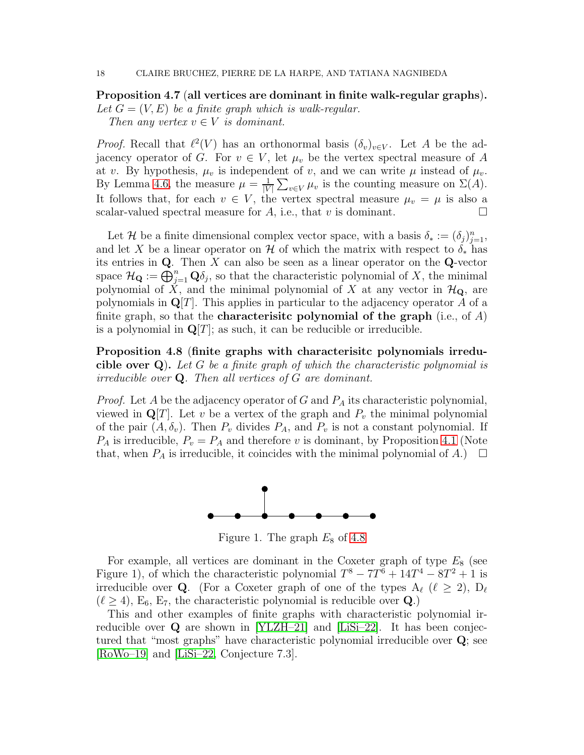<span id="page-17-0"></span>Proposition 4.7 (all vertices are dominant in finite walk-regular graphs).

Let  $G = (V, E)$  be a finite graph which is walk-regular. *Then any vertex*  $v \in V$  *is dominant.* 

*Proof.* Recall that  $\ell^2(V)$  has an orthonormal basis  $(\delta_v)_{v \in V}$ . Let A be the adjacency operator of G. For  $v \in V$ , let  $\mu_v$  be the vertex spectral measure of A at v. By hypothesis,  $\mu_v$  is independent of v, and we can write  $\mu$  instead of  $\mu_v$ . By Lemma [4.6,](#page-16-1) the measure  $\mu = \frac{1}{|V|}$  $|V|$  $\sum_{v \in V} \mu_v$  is the counting measure on  $\Sigma(A)$ . It follows that, for each  $v \in V$ , the vertex spectral measure  $\mu_v = \mu$  is also a scalar-valued spectral measure for A, i.e., that v is dominant.

Let H be a finite dimensional complex vector space, with a basis  $\delta_* := (\delta_j)_{j=1}^n$ , and let X be a linear operator on H of which the matrix with respect to  $\delta_*$  has its entries in  $Q$ . Then X can also be seen as a linear operator on the  $Q$ -vector space  $\mathcal{H}_{\mathbf{Q}} := \bigoplus_{j=1}^n \mathbf{Q} \delta_j$ , so that the characteristic polynomial of X, the minimal polynomial of  $\check{X}$ , and the minimal polynomial of X at any vector in  $\mathcal{H}_{\mathbf{Q}}$ , are polynomials in  $\mathbf{Q}[T]$ . This applies in particular to the adjacency operator A of a finite graph, so that the **characterisitc polynomial of the graph** (i.e., of  $A$ ) is a polynomial in  $\mathbf{Q}[T]$ ; as such, it can be reducible or irreducible.

<span id="page-17-1"></span>Proposition 4.8 (finite graphs with characterisitc polynomials irreducible over Q). *Let* G *be a finite graph of which the characteristic polynomial is irreducible over* Q*. Then all vertices of* G *are dominant.*

*Proof.* Let A be the adjacency operator of G and  $P_A$  its characteristic polynomial, viewed in  $\mathbf{Q}[T]$ . Let v be a vertex of the graph and  $P_v$  the minimal polynomial of the pair  $(A, \delta_v)$ . Then  $P_v$  divides  $P_A$ , and  $P_v$  is not a constant polynomial. If  $P_A$  is irreducible,  $P_v = P_A$  and therefore v is dominant, by Proposition [4.1](#page-13-1) (Note that, when  $P_A$  is irreducible, it coincides with the minimal polynomial of A.)  $\Box$ 



Figure 1. The graph  $E_8$  of [4.8](#page-17-1)

For example, all vertices are dominant in the Coxeter graph of type  $E_8$  (see Figure 1), of which the characteristic polynomial  $T^8 - 7T^6 + 14T^4 - 8T^2 + 1$  is irreducible over **Q**. (For a Coxeter graph of one of the types  $A_{\ell}$  ( $\ell \geq 2$ ),  $D_{\ell}$  $(\ell \geq 4)$ , E<sub>6</sub>, E<sub>7</sub>, the characteristic polynomial is reducible over Q.)

This and other examples of finite graphs with characteristic polynomial irreducible over Q are shown in [\[YLZH–21\]](#page-38-12) and [\[LiSi–22\]](#page-38-13). It has been conjectured that "most graphs" have characteristic polynomial irreducible over Q; see [\[RoWo–19\]](#page-38-14) and [\[LiSi–22,](#page-38-13) Conjecture 7.3].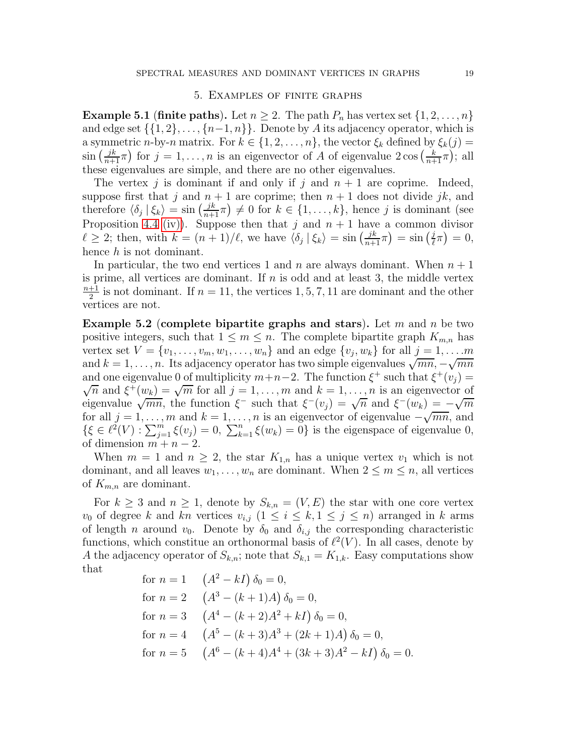#### 5. Examples of finite graphs

<span id="page-18-2"></span><span id="page-18-0"></span>**Example 5.1 (finite paths).** Let  $n \geq 2$ . The path  $P_n$  has vertex set  $\{1, 2, ..., n\}$ and edge set  $\{\{1, 2\}, \ldots, \{n-1, n\}\}\$ . Denote by A its adjacency operator, which is a symmetric *n*-by-*n* matrix. For  $k \in \{1, 2, ..., n\}$ , the vector  $\xi_k$  defined by  $\xi_k(j)$  $\sin\left(\frac{jk}{n+1}\pi\right)$  for  $j=1,\ldots,n$  is an eigenvector of A of eigenvalue  $2\cos\left(\frac{k}{n+1}\pi\right)$ ; all these eigenvalues are simple, and there are no other eigenvalues.

The vertex j is dominant if and only if j and  $n + 1$  are coprime. Indeed, suppose first that j and  $n + 1$  are coprime; then  $n + 1$  does not divide jk, and therefore  $\langle \delta_j | \xi_k \rangle = \sin \left( \frac{jk}{n+1} \pi \right) \neq 0$  for  $k \in \{1, ..., k\}$ , hence j is dominant (see Proposition [4.4](#page-15-0) [\(iv\)\)](#page-15-3). Suppose then that j and  $n + 1$  have a common divisor  $\ell \geq 2$ ; then, with  $k = (n+1)/\ell$ , we have  $\langle \delta_j | \xi_k \rangle = \sin \left( \frac{jk}{n+1} \pi \right) = \sin \left( \frac{j}{\ell} \right)$  $(\frac{j}{\ell}\pi) = 0,$ hence  $h$  is not dominant.

In particular, the two end vertices 1 and n are always dominant. When  $n + 1$ is prime, all vertices are dominant. If  $n$  is odd and at least 3, the middle vertex  $n+1$  $\frac{+1}{2}$  is not dominant. If  $n = 11$ , the vertices 1, 5, 7, 11 are dominant and the other vertices are not.

<span id="page-18-1"></span>**Example 5.2** (complete bipartite graphs and stars). Let m and n be two positive integers, such that  $1 \leq m \leq n$ . The complete bipartite graph  $K_{m,n}$  has vertex set  $V = \{v_1, \ldots, v_m, w_1, \ldots, w_n\}$  and an edge  $\{v_j, w_k\}$  for all  $j = 1, \ldots, m$ and  $k = 1, ..., n$ . Its adjacency operator has two simple eigenvalues  $\sqrt{mn}, -\sqrt{mn}$ and one eigenvalue 0 of multiplicity  $m+n-2$ . The function  $\xi^+$  such that  $\xi^+(v_j)$  =  $\sqrt{n}$  and  $\xi^+(w_k) = \sqrt{m}$  for all  $j = 1, ..., m$  and  $k = 1, ..., n$  is an eigenvector of eigenvalue  $\sqrt{mn}$ , the function  $\xi^-$  such that  $\xi^-(v_j) = \sqrt{n}$  and  $\xi^-(w_k) = -\sqrt{m}$ for all  $j = 1, \ldots, m$  and  $k = 1, \ldots, n$  is an eigenvector of eigenvalue  $-\sqrt{mn}$ , and  $\{\xi \in \ell^2(V) : \sum_{j=1}^m \xi(v_j) = 0, \sum_{k=1}^n \xi(w_k) = 0\}$  is the eigenspace of eigenvalue 0, of dimension  $m + n - 2$ .

When  $m = 1$  and  $n \geq 2$ , the star  $K_{1,n}$  has a unique vertex  $v_1$  which is not dominant, and all leaves  $w_1, \ldots, w_n$  are dominant. When  $2 \leq m \leq n$ , all vertices of  $K_{m,n}$  are dominant.

For  $k \geq 3$  and  $n \geq 1$ , denote by  $S_{k,n} = (V, E)$  the star with one core vertex  $v_0$  of degree k and kn vertices  $v_{i,j}$   $(1 \leq i \leq k, 1 \leq j \leq n)$  arranged in k arms of length *n* around  $v_0$ . Denote by  $\delta_0$  and  $\delta_{i,j}$  the corresponding characteristic functions, which constitue an orthonormal basis of  $\ell^2(V)$ . In all cases, denote by A the adjacency operator of  $S_{k,n}$ ; note that  $S_{k,1} = K_{1,k}$ . Easy computations show that

for 
$$
n = 1
$$
  $(A^2 - kI) \delta_0 = 0$ ,  
\nfor  $n = 2$   $(A^3 - (k+1)A) \delta_0 = 0$ ,  
\nfor  $n = 3$   $(A^4 - (k+2)A^2 + kI) \delta_0 = 0$ ,  
\nfor  $n = 4$   $(A^5 - (k+3)A^3 + (2k+1)A) \delta_0 = 0$ ,  
\nfor  $n = 5$   $(A^6 - (k+4)A^4 + (3k+3)A^2 - kI) \delta_0 = 0$ .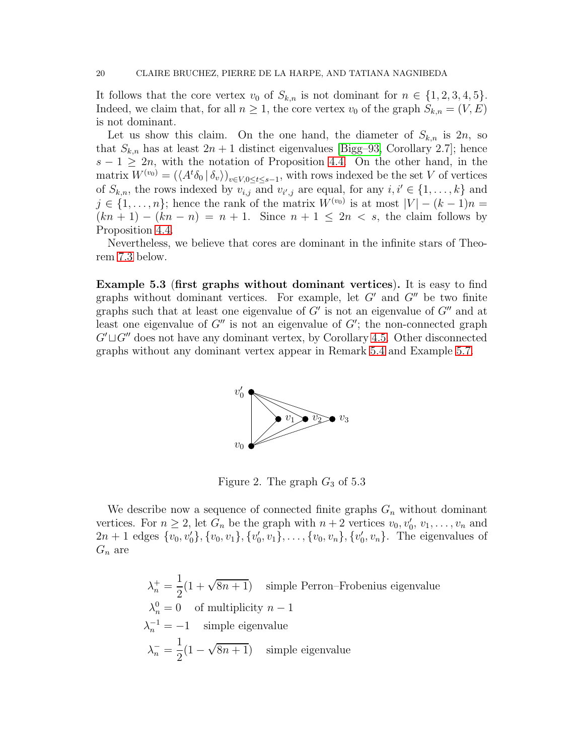It follows that the core vertex  $v_0$  of  $S_{k,n}$  is not dominant for  $n \in \{1, 2, 3, 4, 5\}.$ Indeed, we claim that, for all  $n \geq 1$ , the core vertex  $v_0$  of the graph  $S_{k,n} = (V, E)$ is not dominant.

Let us show this claim. On the one hand, the diameter of  $S_{k,n}$  is  $2n$ , so that  $S_{k,n}$  has at least  $2n+1$  distinct eigenvalues [\[Bigg–93,](#page-37-1) Corollary 2.7]; hence  $s - 1 \geq 2n$ , with the notation of Proposition [4.4.](#page-15-0) On the other hand, in the matrix  $W^{(v_0)} = (\langle A^t \delta_0 | \delta_v \rangle)_{v \in V, 0 \le t \le s-1}$ , with rows indexed be the set V of vertices of  $S_{k,n}$ , the rows indexed by  $v_{i,j}$  and  $v_{i',j}$  are equal, for any  $i, i' \in \{1, \ldots, k\}$  and  $j \in \{1, \ldots, n\}$ ; hence the rank of the matrix  $W^{(v_0)}$  is at most  $|V| - (k-1)n =$  $(kn + 1) - (kn - n) = n + 1$ . Since  $n + 1 \leq 2n < s$ , the claim follows by Proposition [4.4.](#page-15-0)

Nevertheless, we believe that cores are dominant in the infinite stars of Theorem [7.3](#page-35-0) below.

<span id="page-19-0"></span>Example 5.3 (first graphs without dominant vertices). It is easy to find graphs without dominant vertices. For example, let  $G'$  and  $G''$  be two finite graphs such that at least one eigenvalue of  $G'$  is not an eigenvalue of  $G''$  and at least one eigenvalue of  $G''$  is not an eigenvalue of  $G'$ ; the non-connected graph  $G' \sqcup G''$  does not have any dominant vertex, by Corollary [4.5.](#page-16-0) Other disconnected graphs without any dominant vertex appear in Remark [5.4](#page-20-0) and Example [5.7.](#page-23-0)



Figure 2. The graph  $G_3$  of 5.3

We describe now a sequence of connected finite graphs  $G_n$  without dominant vertices. For  $n \geq 2$ , let  $G_n$  be the graph with  $n+2$  vertices  $v_0, v'_0, v_1, \ldots, v_n$  and  $2n + 1$  edges  $\{v_0, v'_0\}, \{v_0, v_1\}, \{v'_0, v_1\}, \ldots, \{v_0, v_n\}, \{v'_0, v_n\}.$  The eigenvalues of  $G_n$  are

$$
\lambda_n^+ = \frac{1}{2}(1 + \sqrt{8n + 1})
$$
 simple Perron–Frobenius eigenvalue  
\n
$$
\lambda_n^0 = 0
$$
 of multiplicity  $n - 1$   
\n
$$
\lambda_n^{-1} = -1
$$
 simple eigenvalue  
\n
$$
\lambda_n^- = \frac{1}{2}(1 - \sqrt{8n + 1})
$$
 simple eigenvalue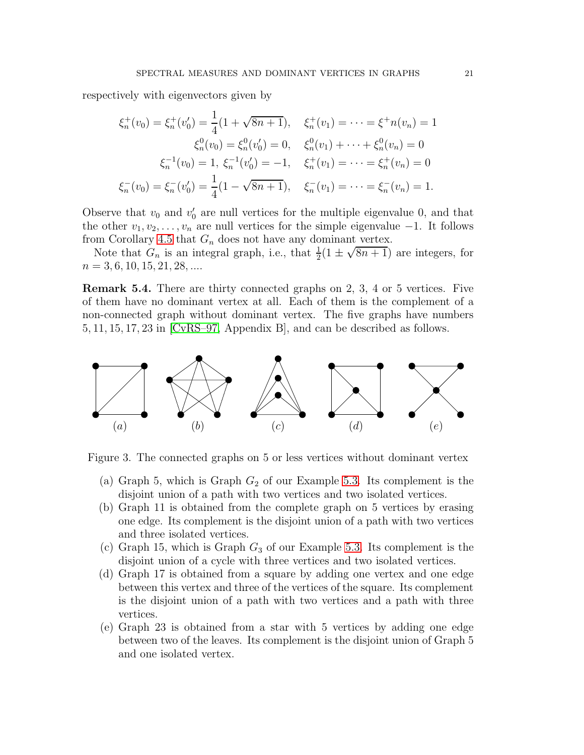respectively with eigenvectors given by

$$
\xi_n^+(v_0) = \xi_n^+(v_0') = \frac{1}{4}(1 + \sqrt{8n+1}), \quad \xi_n^+(v_1) = \dots = \xi^+ n(v_n) = 1
$$
  

$$
\xi_n^0(v_0) = \xi_n^0(v_0') = 0, \quad \xi_n^0(v_1) + \dots + \xi_n^0(v_n) = 0
$$
  

$$
\xi_n^{-1}(v_0) = 1, \xi_n^{-1}(v_0') = -1, \quad \xi_n^+(v_1) = \dots = \xi_n^+(v_n) = 0
$$
  

$$
\xi_n^-(v_0) = \xi_n^-(v_0') = \frac{1}{4}(1 - \sqrt{8n+1}), \quad \xi_n^-(v_1) = \dots = \xi_n^-(v_n) = 1.
$$

Observe that  $v_0$  and  $v'_0$  are null vertices for the multiple eigenvalue 0, and that the other  $v_1, v_2, \ldots, v_n$  are null vertices for the simple eigenvalue  $-1$ . It follows from Corollary [4.5](#page-16-0) that  $G_n$  does not have any dominant vertex.

Note that  $G_n$  is an integral graph, i.e., that  $\frac{1}{2}(1 \pm \sqrt{8n+1})$  are integers, for  $n = 3, 6, 10, 15, 21, 28, \dots$ 

<span id="page-20-0"></span>Remark 5.4. There are thirty connected graphs on 2, 3, 4 or 5 vertices. Five of them have no dominant vertex at all. Each of them is the complement of a non-connected graph without dominant vertex. The five graphs have numbers 5, 11, 15, 17, 23 in [\[CvRS–97,](#page-37-8) Appendix B], and can be described as follows.



Figure 3. The connected graphs on 5 or less vertices without dominant vertex

- (a) Graph 5, which is Graph  $G_2$  of our Example [5.3.](#page-19-0) Its complement is the disjoint union of a path with two vertices and two isolated vertices.
- (b) Graph 11 is obtained from the complete graph on 5 vertices by erasing one edge. Its complement is the disjoint union of a path with two vertices and three isolated vertices.
- (c) Graph 15, which is Graph  $G_3$  of our Example [5.3.](#page-19-0) Its complement is the disjoint union of a cycle with three vertices and two isolated vertices.
- (d) Graph 17 is obtained from a square by adding one vertex and one edge between this vertex and three of the vertices of the square. Its complement is the disjoint union of a path with two vertices and a path with three vertices.
- (e) Graph 23 is obtained from a star with 5 vertices by adding one edge between two of the leaves. Its complement is the disjoint union of Graph 5 and one isolated vertex.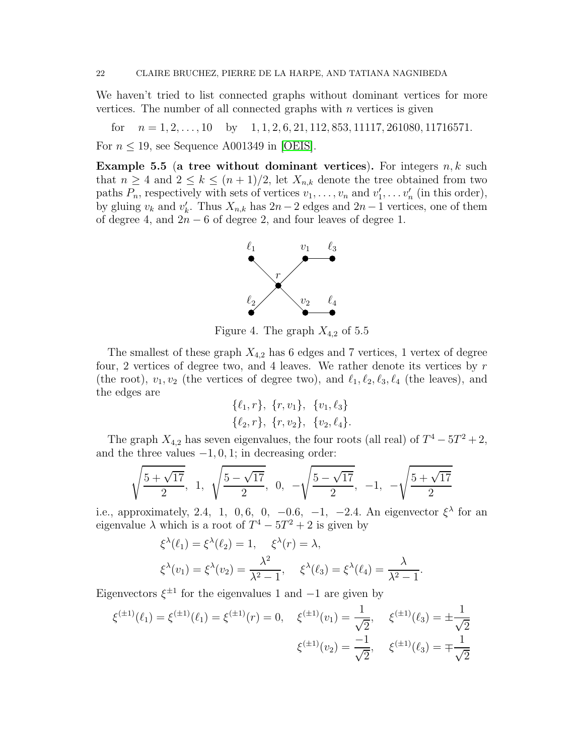We haven't tried to list connected graphs without dominant vertices for more vertices. The number of all connected graphs with  $n$  vertices is given

for  $n = 1, 2, \ldots, 10$  by  $1, 1, 2, 6, 21, 112, 853, 11117, 261080, 11716571.$ 

For  $n \leq 19$ , see Sequence A001349 in [\[OEIS\]](#page-38-15).

<span id="page-21-0"></span>**Example 5.5** (a tree without dominant vertices). For integers  $n, k$  such that  $n \geq 4$  and  $2 \leq k \leq (n+1)/2$ , let  $X_{n,k}$  denote the tree obtained from two paths  $P_n$ , respectively with sets of vertices  $v_1, \ldots, v_n$  and  $v'_1, \ldots, v'_n$  (in this order), by gluing  $v_k$  and  $v'_k$ . Thus  $X_{n,k}$  has  $2n-2$  edges and  $2n-1$  vertices, one of them of degree 4, and  $2n - 6$  of degree 2, and four leaves of degree 1.



Figure 4. The graph  $X_{4,2}$  of 5.5

The smallest of these graph  $X_{4,2}$  has 6 edges and 7 vertices, 1 vertex of degree four, 2 vertices of degree two, and 4 leaves. We rather denote its vertices by  $r$ (the root),  $v_1, v_2$  (the vertices of degree two), and  $\ell_1, \ell_2, \ell_3, \ell_4$  (the leaves), and the edges are

$$
\{\ell_1, r\}, \{r, v_1\}, \{v_1, \ell_3\} \{\ell_2, r\}, \{r, v_2\}, \{v_2, \ell_4\}.
$$

The graph  $X_{4,2}$  has seven eigenvalues, the four roots (all real) of  $T^4 - 5T^2 + 2$ , and the three values  $-1, 0, 1$ ; in decreasing order:

$$
\sqrt{\frac{5+\sqrt{17}}{2}}, 1, \sqrt{\frac{5-\sqrt{17}}{2}}, 0, -\sqrt{\frac{5-\sqrt{17}}{2}}, -1, -\sqrt{\frac{5+\sqrt{17}}{2}}
$$

i.e., approximately, 2.4, 1, 0, 6, 0, -0.6, -1, -2.4. An eigenvector  $\xi^{\lambda}$  for an eigenvalue  $\lambda$  which is a root of  $T^4 - 5T^2 + 2$  is given by

$$
\xi^{\lambda}(\ell_1) = \xi^{\lambda}(\ell_2) = 1, \quad \xi^{\lambda}(r) = \lambda,
$$
  

$$
\xi^{\lambda}(v_1) = \xi^{\lambda}(v_2) = \frac{\lambda^2}{\lambda^2 - 1}, \quad \xi^{\lambda}(\ell_3) = \xi^{\lambda}(\ell_4) = \frac{\lambda}{\lambda^2 - 1}
$$

.

Eigenvectors  $\xi^{\pm 1}$  for the eigenvalues 1 and  $-1$  are given by

$$
\xi^{(\pm 1)}(\ell_1) = \xi^{(\pm 1)}(\ell_1) = \xi^{(\pm 1)}(r) = 0, \quad \xi^{(\pm 1)}(v_1) = \frac{1}{\sqrt{2}}, \quad \xi^{(\pm 1)}(\ell_3) = \pm \frac{1}{\sqrt{2}}
$$

$$
\xi^{(\pm 1)}(v_2) = \frac{-1}{\sqrt{2}}, \quad \xi^{(\pm 1)}(\ell_3) = \mp \frac{1}{\sqrt{2}}
$$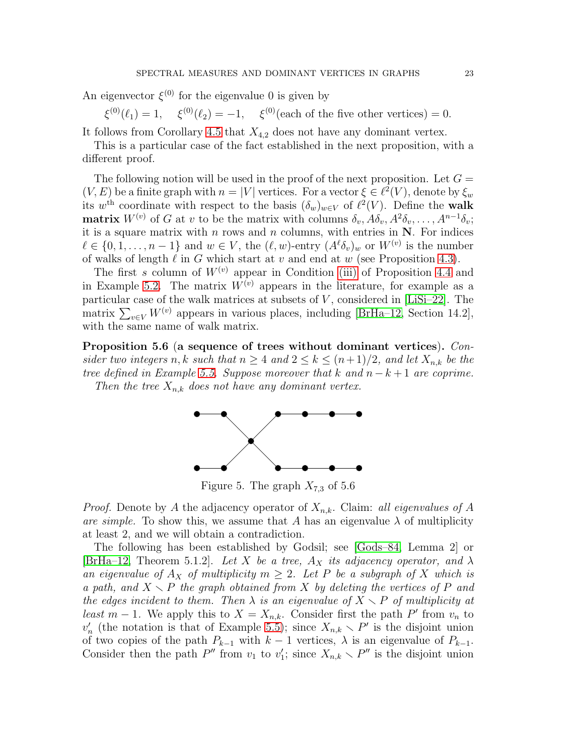An eigenvector  $\xi^{(0)}$  for the eigenvalue 0 is given by

 $\xi^{(0)}(\ell_1) = 1, \quad \xi^{(0)}(\ell_2) = -1, \quad \xi^{(0)}(\text{each of the five other vertices}) = 0.$ 

It follows from Corollary [4.5](#page-16-0) that  $X_{4,2}$  does not have any dominant vertex.

This is a particular case of the fact established in the next proposition, with a different proof.

The following notion will be used in the proof of the next proposition. Let  $G =$  $(V, E)$  be a finite graph with  $n = |V|$  vertices. For a vector  $\xi \in \ell^2(V)$ , denote by  $\xi_w$ its w<sup>th</sup> coordinate with respect to the basis  $(\delta_w)_{w \in V}$  of  $\ell^2(V)$ . Define the walk **matrix**  $W^{(v)}$  of G at v to be the matrix with columns  $\delta_v$ ,  $A\delta_v$ ,  $A^2\delta_v$ , ...,  $A^{n-1}\delta_v$ ; it is a square matrix with  $n$  rows and  $n$  columns, with entries in  $N$ . For indices  $\ell \in \{0, 1, \ldots, n-1\}$  and  $w \in V$ , the  $(\ell, w)$ -entry  $(A^{\ell}\delta_v)_{w}$  or  $W^{(v)}$  is the number of walks of length  $\ell$  in G which start at v and end at w (see Proposition [4.3\)](#page-14-2).

The first s column of  $W^{(v)}$  appear in Condition [\(iii\)](#page-15-4) of Proposition [4.4](#page-15-0) and in Example [5.2.](#page-18-1) The matrix  $W^{(v)}$  appears in the literature, for example as a particular case of the walk matrices at subsets of  $V$ , considered in [\[LiSi–22\]](#page-38-13). The matrix  $\sum_{v \in V} W^{(v)}$  appears in various places, including [\[BrHa–12,](#page-37-2) Section 14.2], with the same name of walk matrix.

Proposition 5.6 (a sequence of trees without dominant vertices). *Consider two integers* n, k *such that*  $n \geq 4$  *and*  $2 \leq k \leq (n+1)/2$ *, and let*  $X_{n,k}$  *be the tree defined in Example* [5.5.](#page-21-0) *Suppose moreover that*  $k$  *and*  $n - k + 1$  *are coprime. Then the tree*  $X_{n,k}$  *does not have any dominant vertex.* 



Figure 5. The graph  $X_{7,3}$  of 5.6

*Proof.* Denote by A the adjacency operator of  $X_{n,k}$ . Claim: *all eigenvalues of* A *are simple.* To show this, we assume that A has an eigenvalue  $\lambda$  of multiplicity at least 2, and we will obtain a contradiction.

The following has been established by Godsil; see [\[Gods–84,](#page-38-16) Lemma 2] or [\[BrHa–12,](#page-37-2) Theorem 5.1.2]. Let X be a tree,  $A_X$  its adjacency operator, and  $\lambda$ *an eigenvalue of*  $A_X$  *of multiplicity*  $m \geq 2$ *. Let* P *be a subgraph of* X *which is a path, and*  $X \setminus P$  *the graph obtained from* X *by deleting the vertices of* P *and the edges incident to them. Then*  $\lambda$  *is an eigenvalue of*  $X \setminus P$  *of multiplicity at least*  $m-1$ . We apply this to  $X = X_{n,k}$ . Consider first the path P' from  $v_n$  to  $v'_n$  (the notation is that of Example [5.5\)](#page-21-0); since  $X_{n,k} \setminus P'$  is the disjoint union of two copies of the path  $P_{k-1}$  with  $k-1$  vertices,  $\lambda$  is an eigenvalue of  $P_{k-1}$ . Consider then the path  $P''$  from  $v_1$  to  $v'_1$ ; since  $X_{n,k} \setminus P''$  is the disjoint union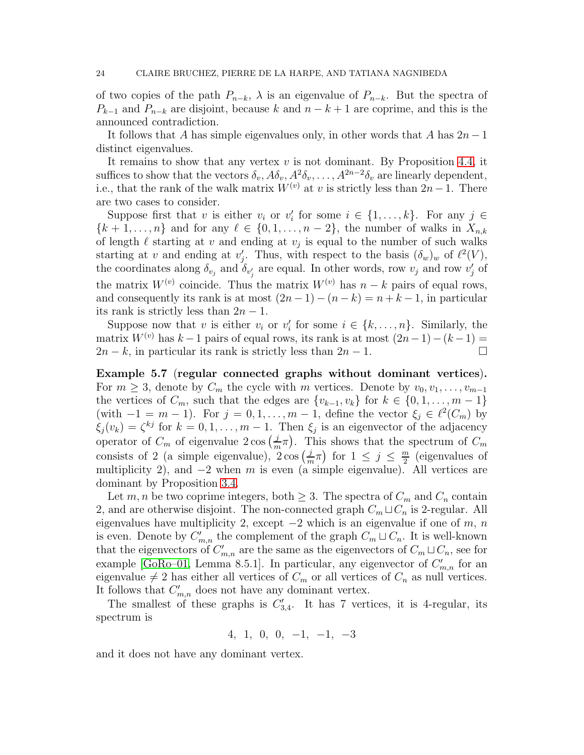of two copies of the path  $P_{n-k}$ ,  $\lambda$  is an eigenvalue of  $P_{n-k}$ . But the spectra of  $P_{k-1}$  and  $P_{n-k}$  are disjoint, because k and  $n-k+1$  are coprime, and this is the announced contradiction.

It follows that A has simple eigenvalues only, in other words that A has  $2n-1$ distinct eigenvalues.

It remains to show that any vertex  $v$  is not dominant. By Proposition [4.4,](#page-15-0) it suffices to show that the vectors  $\delta_v$ ,  $A\delta_v$ ,  $A^2\delta_v$ , ...,  $A^{2n-2}\delta_v$  are linearly dependent, i.e., that the rank of the walk matrix  $W^{(v)}$  at v is strictly less than  $2n-1$ . There are two cases to consider.

Suppose first that v is either  $v_i$  or  $v'_i$  for some  $i \in \{1, ..., k\}$ . For any  $j \in$  ${k + 1, ..., n}$  and for any  $\ell \in \{0, 1, ..., n-2\}$ , the number of walks in  $X_{n,k}$ of length  $\ell$  starting at v and ending at  $v_j$  is equal to the number of such walks starting at v and ending at  $v'_j$ . Thus, with respect to the basis  $(\delta_w)_w$  of  $\ell^2(V)$ , the coordinates along  $\delta_{v_j}$  and  $\delta_{v'_j}$  are equal. In other words, row  $v_j$  and row  $v'_j$  of the matrix  $W^{(v)}$  coincide. Thus the matrix  $W^{(v)}$  has  $n - k$  pairs of equal rows, and consequently its rank is at most  $(2n-1) - (n-k) = n+k-1$ , in particular its rank is strictly less than  $2n - 1$ .

Suppose now that v is either  $v_i$  or  $v'_i$  for some  $i \in \{k, \ldots, n\}$ . Similarly, the matrix  $W^{(v)}$  has  $k-1$  pairs of equal rows, its rank is at most  $(2n-1)-(k-1) = 2n - k$ , in particular its rank is strictly less than  $2n-1$ .  $2n - k$ , in particular its rank is strictly less than  $2n - 1$ .

<span id="page-23-0"></span>Example 5.7 (regular connected graphs without dominant vertices). For  $m \geq 3$ , denote by  $C_m$  the cycle with m vertices. Denote by  $v_0, v_1, \ldots, v_{m-1}$ the vertices of  $C_m$ , such that the edges are  $\{v_{k-1}, v_k\}$  for  $k \in \{0, 1, \ldots, m-1\}$ (with  $-1 = m - 1$ ). For  $j = 0, 1, ..., m - 1$ , define the vector  $\xi_j \in \ell^2(C_m)$  by  $\xi_j(v_k) = \zeta^{kj}$  for  $k = 0, 1, ..., m - 1$ . Then  $\xi_j$  is an eigenvector of the adjacency operator of  $C_m$  of eigenvalue  $2 \cos \left( \frac{j}{n} \right)$  $\frac{j}{m}\pi$ ). This shows that the spectrum of  $C_m$ consists of 2 (a simple eigenvalue),  $2 \cos(\frac{1}{n})$  $\frac{j}{m}\pi$ ) for  $1 \leq j \leq \frac{m}{2}$  $\frac{m}{2}$  (eigenvalues of multiplicity 2), and  $-2$  when m is even (a simple eigenvalue). All vertices are dominant by Proposition [3.4.](#page-10-3)

Let m, n be two coprime integers, both  $\geq 3$ . The spectra of  $C_m$  and  $C_n$  contain 2, and are otherwise disjoint. The non-connected graph  $C_m \sqcup C_n$  is 2-regular. All eigenvalues have multiplicity 2, except  $-2$  which is an eigenvalue if one of m, n is even. Denote by  $C'_{m,n}$  the complement of the graph  $C_m \sqcup C_n$ . It is well-known that the eigenvectors of  $C'_{m,n}$  are the same as the eigenvectors of  $C_m \sqcup C_n$ , see for example [\[GoRo–01,](#page-38-4) Lemma 8.5.1]. In particular, any eigenvector of  $C'_{m,n}$  for an eigenvalue  $\neq 2$  has either all vertices of  $C_m$  or all vertices of  $C_n$  as null vertices. It follows that  $C'_{m,n}$  does not have any dominant vertex.

The smallest of these graphs is  $C'_{3,4}$ . It has 7 vertices, it is 4-regular, its spectrum is

4, 1, 0, 0, −1, −1, −3

and it does not have any dominant vertex.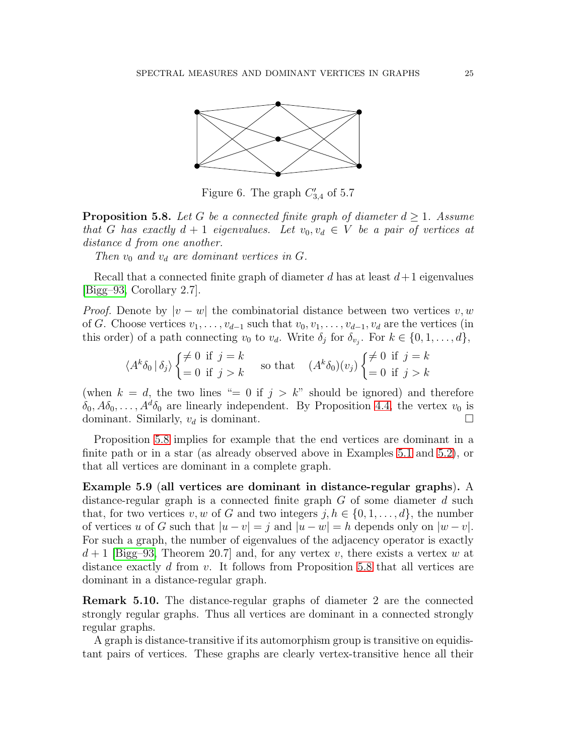

Figure 6. The graph  $C'_{3,4}$  of 5.7

<span id="page-24-0"></span>**Proposition 5.8.** Let G be a connected finite graph of diameter  $d \geq 1$ . Assume *that* G has exactly  $d + 1$  eigenvalues. Let  $v_0, v_d \in V$  be a pair of vertices at *distance* d *from one another.*

*Then*  $v_0$  *and*  $v_d$  *are dominant vertices in G.* 

Recall that a connected finite graph of diameter d has at least  $d+1$  eigenvalues [\[Bigg–93,](#page-37-1) Corollary 2.7].

*Proof.* Denote by  $|v - w|$  the combinatorial distance between two vertices v, w of G. Choose vertices  $v_1, \ldots, v_{d-1}$  such that  $v_0, v_1, \ldots, v_{d-1}, v_d$  are the vertices (in this order) of a path connecting  $v_0$  to  $v_d$ . Write  $\delta_j$  for  $\delta_{v_j}$ . For  $k \in \{0, 1, \ldots, d\}$ ,

$$
\langle A^k \delta_0 | \delta_j \rangle \begin{cases} \neq 0 \text{ if } j = k \\ = 0 \text{ if } j > k \end{cases} \text{ so that } \quad (A^k \delta_0)(v_j) \begin{cases} \neq 0 \text{ if } j = k \\ = 0 \text{ if } j > k \end{cases}
$$

(when  $k = d$ , the two lines "= 0 if  $j > k$ " should be ignored) and therefore  $\delta_0, A\delta_0, \ldots, A^d\delta_0$  are linearly independent. By Proposition [4.4,](#page-15-0) the vertex  $v_0$  is dominant. Similarly,  $v_d$  is dominant.

Proposition [5.8](#page-24-0) implies for example that the end vertices are dominant in a finite path or in a star (as already observed above in Examples [5.1](#page-18-2) and [5.2\)](#page-18-1), or that all vertices are dominant in a complete graph.

Example 5.9 (all vertices are dominant in distance-regular graphs). A distance-regular graph is a connected finite graph  $G$  of some diameter  $d$  such that, for two vertices v, w of G and two integers  $j, h \in \{0, 1, \ldots, d\}$ , the number of vertices u of G such that  $|u - v| = j$  and  $|u - w| = h$  depends only on  $|w - v|$ . For such a graph, the number of eigenvalues of the adjacency operator is exactly  $d+1$  [\[Bigg–93,](#page-37-1) Theorem 20.7] and, for any vertex v, there exists a vertex w at distance exactly d from v. It follows from Proposition [5.8](#page-24-0) that all vertices are dominant in a distance-regular graph.

Remark 5.10. The distance-regular graphs of diameter 2 are the connected strongly regular graphs. Thus all vertices are dominant in a connected strongly regular graphs.

A graph is distance-transitive if its automorphism group is transitive on equidistant pairs of vertices. These graphs are clearly vertex-transitive hence all their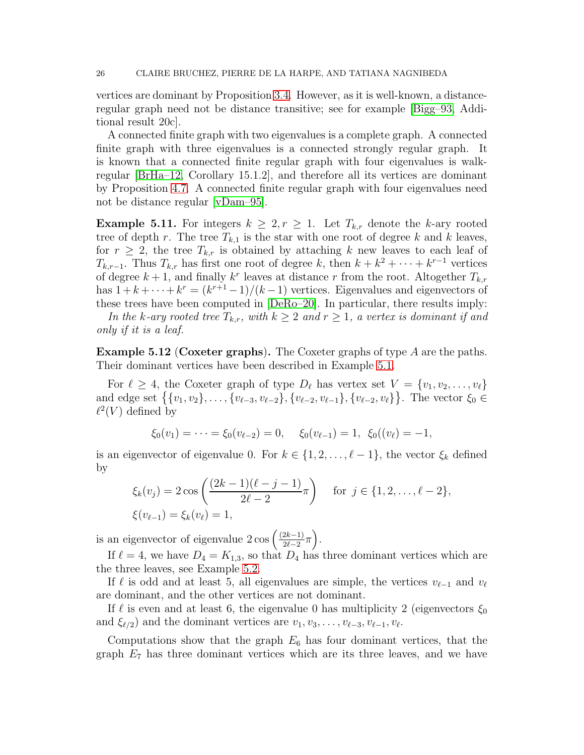vertices are dominant by Proposition [3.4.](#page-10-3) However, as it is well-known, a distanceregular graph need not be distance transitive; see for example [\[Bigg–93,](#page-37-1) Additional result 20c].

A connected finite graph with two eigenvalues is a complete graph. A connected finite graph with three eigenvalues is a connected strongly regular graph. It is known that a connected finite regular graph with four eigenvalues is walkregular [\[BrHa–12,](#page-37-2) Corollary 15.1.2], and therefore all its vertices are dominant by Proposition [4.7.](#page-17-0) A connected finite regular graph with four eigenvalues need not be distance regular [\[vDam–95\]](#page-37-11).

**Example 5.11.** For integers  $k \geq 2, r \geq 1$ . Let  $T_{k,r}$  denote the k-ary rooted tree of depth r. The tree  $T_{k,1}$  is the star with one root of degree k and k leaves, for  $r \geq 2$ , the tree  $T_{k,r}$  is obtained by attaching k new leaves to each leaf of  $T_{k,r-1}$ . Thus  $T_{k,r}$  has first one root of degree k, then  $k + k^2 + \cdots + k^{r-1}$  vertices of degree  $k+1$ , and finally  $k^r$  leaves at distance r from the root. Altogether  $T_{k,r}$ has  $1 + k + \cdots + k^r = (k^{r+1} - 1)/(k - 1)$  vertices. Eigenvalues and eigenvectors of these trees have been computed in [\[DeRo–20\]](#page-37-12). In particular, there results imply:

*In the k-ary rooted tree*  $T_{k,r}$ *, with*  $k \geq 2$  *and*  $r \geq 1$ *, a vertex is dominant if and only if it is a leaf.*

**Example 5.12 (Coxeter graphs).** The Coxeter graphs of type  $A$  are the paths. Their dominant vertices have been described in Example [5.1.](#page-18-2)

For  $\ell \geq 4$ , the Coxeter graph of type  $D_{\ell}$  has vertex set  $V = \{v_1, v_2, \ldots, v_{\ell}\}\$ and edge set  $\{\{v_1, v_2\}, \ldots, \{v_{\ell-3}, v_{\ell-2}\}, \{v_{\ell-2}, v_{\ell-1}\}, \{v_{\ell-2}, v_{\ell}\}\}\.$  The vector  $\xi_0 \in$  $\ell^2(V)$  defined by

$$
\xi_0(v_1) = \cdots = \xi_0(v_{\ell-2}) = 0, \quad \xi_0(v_{\ell-1}) = 1, \ \xi_0((v_{\ell}) = -1,
$$

is an eigenvector of eigenvalue 0. For  $k \in \{1, 2, \ldots, \ell - 1\}$ , the vector  $\xi_k$  defined by

$$
\xi_k(v_j) = 2 \cos \left( \frac{(2k-1)(\ell-j-1)}{2\ell-2} \pi \right) \quad \text{for } j \in \{1, 2, \dots, \ell-2\},
$$
  

$$
\xi(v_{\ell-1}) = \xi_k(v_{\ell}) = 1,
$$

is an eigenvector of eigenvalue  $2 \cos \left( \frac{(2k-1)}{2k-2} \right)$  $\frac{2k-1}{2\ell-2}\pi$ .

If  $\ell = 4$ , we have  $D_4 = K_{1,3}$ , so that  $D_4$  has three dominant vertices which are the three leaves, see Example [5.2.](#page-18-1)

If  $\ell$  is odd and at least 5, all eigenvalues are simple, the vertices  $v_{\ell-1}$  and  $v_{\ell}$ are dominant, and the other vertices are not dominant.

If  $\ell$  is even and at least 6, the eigenvalue 0 has multiplicity 2 (eigenvectors  $\xi_0$ and  $\xi_{\ell/2}$ ) and the dominant vertices are  $v_1, v_3, \ldots, v_{\ell-3}, v_{\ell-1}, v_{\ell}$ .

Computations show that the graph  $E_6$  has four dominant vertices, that the graph  $E_7$  has three dominant vertices which are its three leaves, and we have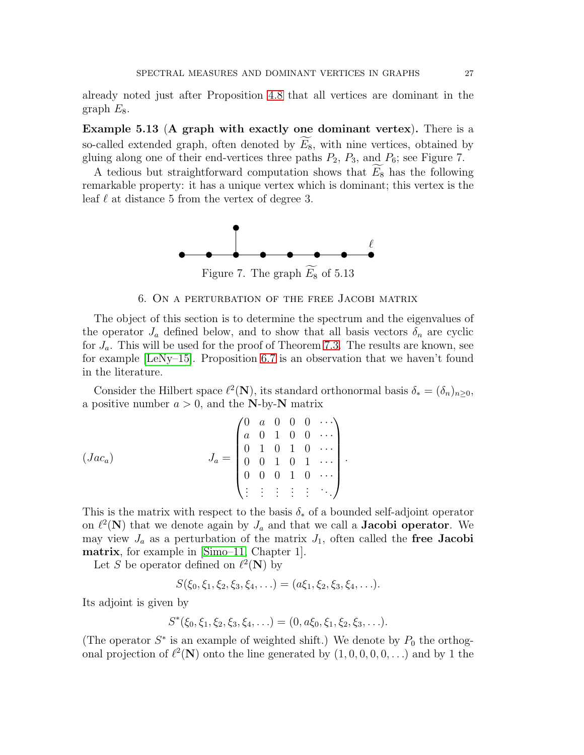already noted just after Proposition [4.8](#page-17-1) that all vertices are dominant in the graph  $E_8$ .

Example 5.13 (A graph with exactly one dominant vertex). There is a so-called extended graph, often denoted by  $E_8$ , with nine vertices, obtained by gluing along one of their end-vertices three paths  $P_2$ ,  $P_3$ , and  $P_6$ ; see Figure 7.

A tedious but straightforward computation shows that  $E_8$  has the following remarkable property: it has a unique vertex which is dominant; this vertex is the leaf  $\ell$  at distance 5 from the vertex of degree 3.



Figure 7. The graph  $\widetilde{E_8}$  of 5.13

### 6. On a perturbation of the free Jacobi matrix

<span id="page-26-0"></span>The object of this section is to determine the spectrum and the eigenvalues of the operator  $J_a$  defined below, and to show that all basis vectors  $\delta_n$  are cyclic for  $J_a$ . This will be used for the proof of Theorem [7.3.](#page-35-0) The results are known, see for example [\[LeNy–15\]](#page-38-17). Proposition [6.7](#page-32-1) is an observation that we haven't found in the literature.

Consider the Hilbert space  $\ell^2(\mathbf{N})$ , its standard orthonormal basis  $\delta_* = (\delta_n)_{n \geq 0}$ , a positive number  $a > 0$ , and the N-by-N matrix

$$
(Jac_{a}) \qquad J_{a} = \begin{pmatrix} 0 & a & 0 & 0 & 0 & \cdots \\ a & 0 & 1 & 0 & 0 & \cdots \\ 0 & 1 & 0 & 1 & 0 & \cdots \\ 0 & 0 & 1 & 0 & 1 & \cdots \\ 0 & 0 & 0 & 1 & 0 & \cdots \\ \vdots & \vdots & \vdots & \vdots & \vdots & \ddots \end{pmatrix}.
$$

This is the matrix with respect to the basis  $\delta_*$  of a bounded self-adjoint operator on  $\ell^2(\mathbf{N})$  that we denote again by  $J_a$  and that we call a **Jacobi operator**. We may view  $J_a$  as a perturbation of the matrix  $J_1$ , often called the free Jacobi matrix, for example in [\[Simo–11,](#page-38-18) Chapter 1].

Let S be operator defined on  $\ell^2(\mathbf{N})$  by

$$
S(\xi_0,\xi_1,\xi_2,\xi_3,\xi_4,\ldots)=(a\xi_1,\xi_2,\xi_3,\xi_4,\ldots).
$$

Its adjoint is given by

$$
S^*(\xi_0,\xi_1,\xi_2,\xi_3,\xi_4,\ldots)=(0,a\xi_0,\xi_1,\xi_2,\xi_3,\ldots).
$$

(The operator  $S^*$  is an example of weighted shift.) We denote by  $P_0$  the orthogonal projection of  $\ell^2(\mathbf{N})$  onto the line generated by  $(1,0,0,0,0,\ldots)$  and by 1 the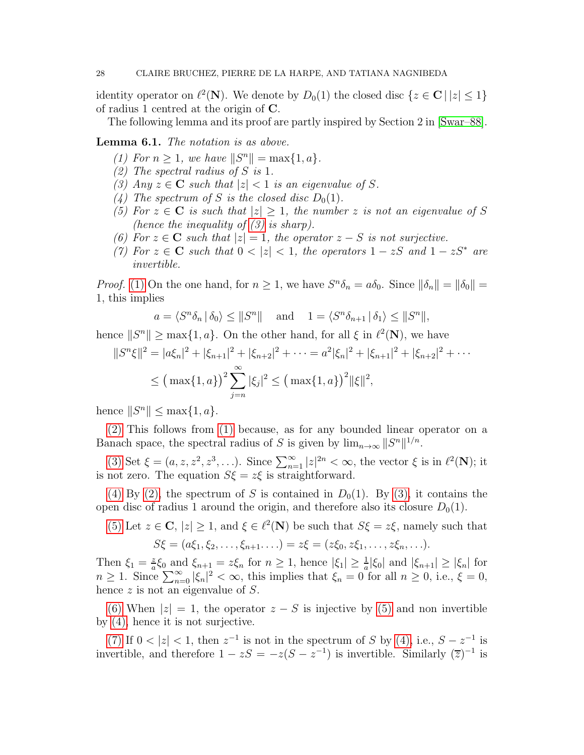identity operator on  $\ell^2(\mathbf{N})$ . We denote by  $D_0(1)$  the closed disc  $\{z \in \mathbf{C} \mid |z| \leq 1\}$ of radius 1 centred at the origin of C.

The following lemma and its proof are partly inspired by Section 2 in [\[Swar–88\]](#page-38-19).

<span id="page-27-7"></span><span id="page-27-2"></span><span id="page-27-1"></span>Lemma 6.1. *The notation is as above.*

- $(1)$  For  $n \geq 1$ , we have  $||S^n|| = \max\{1, a\}.$
- <span id="page-27-0"></span>*(2) The spectral radius of* S *is* 1*.*
- <span id="page-27-3"></span>*(3)* Any  $z \in \mathbb{C}$  *such that*  $|z| < 1$  *is an eigenvalue of* S.
- <span id="page-27-4"></span>(4) The spectrum of S is the closed disc  $D_0(1)$ .
- *(5) For*  $z \in \mathbb{C}$  *is such that*  $|z| \geq 1$ *, the number z is not an eigenvalue of* S *(hence the inequality of [\(3\)](#page-27-0) is sharp).*
- <span id="page-27-6"></span><span id="page-27-5"></span>*(6)* For  $z \in \mathbb{C}$  *such that*  $|z| = 1$ *, the operator*  $z - S$  *is not surjective.*
- *(7)* For  $z \in \mathbb{C}$  *such that*  $0 < |z| < 1$ *, the operators*  $1 zS$  *and*  $1 zS^*$  *are invertible.*

*Proof.* [\(1\)](#page-27-1) On the one hand, for  $n \ge 1$ , we have  $S^n \delta_n = a \delta_0$ . Since  $\|\delta_n\| = \|\delta_0\| =$ 1, this implies

$$
a = \langle S^n \delta_n | \delta_0 \rangle \le ||S^n||
$$
 and  $1 = \langle S^n \delta_{n+1} | \delta_1 \rangle \le ||S^n||$ ,

hence  $||S^n|| \ge \max\{1, a\}$ . On the other hand, for all  $\xi$  in  $\ell^2(\mathbf{N})$ , we have

$$
||S^{n}\xi||^{2} = |a\xi_{n}|^{2} + |\xi_{n+1}|^{2} + |\xi_{n+2}|^{2} + \dots = a^{2}|\xi_{n}|^{2} + |\xi_{n+1}|^{2} + |\xi_{n+2}|^{2} + \dots
$$
  

$$
\leq (\max\{1, a\})^{2} \sum_{j=n}^{\infty} |\xi_{j}|^{2} \leq (\max\{1, a\})^{2} ||\xi||^{2},
$$

hence  $||S^n|| \le \max\{1, a\}.$ 

[\(2\)](#page-27-2) This follows from [\(1\)](#page-27-1) because, as for any bounded linear operator on a Banach space, the spectral radius of S is given by  $\lim_{n\to\infty} ||S^n||^{1/n}$ .

[\(3\)](#page-27-0) Set  $\xi = (a, z, z^2, z^3, \ldots)$ . Since  $\sum_{n=1}^{\infty} |z|^{2n} < \infty$ , the vector  $\xi$  is in  $\ell^2(\mathbf{N})$ ; it is not zero. The equation  $S\xi = z\xi$  is straightforward.

[\(4\)](#page-27-3) By [\(2\),](#page-27-2) the spectrum of S is contained in  $D_0(1)$ . By [\(3\),](#page-27-0) it contains the open disc of radius 1 around the origin, and therefore also its closure  $D_0(1)$ .

[\(5\)](#page-27-4) Let  $z \in \mathbb{C}$ ,  $|z| \geq 1$ , and  $\xi \in \ell^2(\mathbb{N})$  be such that  $S\xi = z\xi$ , namely such that  $S\xi = (a\xi_1, \xi_2, \ldots, \xi_{n+1}, \ldots) = z\xi = (z\xi_0, z\xi_1, \ldots, z\xi_n, \ldots).$ 

Then  $\xi_1 = \frac{z}{a}$  $\frac{z}{a}\xi_0$  and  $\xi_{n+1} = z\xi_n$  for  $n \geq 1$ , hence  $|\xi_1| \geq \frac{1}{a}|\xi_0|$  and  $|\xi_{n+1}| \geq |\xi_n|$  for  $n \geq 1$ . Since  $\sum_{n=0}^{\infty} |\xi_n|^2 < \infty$ , this implies that  $\xi_n = 0$  for all  $n \geq 0$ , i.e.,  $\xi = 0$ , hence z is not an eigenvalue of S.

[\(6\)](#page-27-5) When  $|z| = 1$ , the operator  $z - S$  is injective by [\(5\)](#page-27-4) and non invertible by [\(4\),](#page-27-3) hence it is not surjective.

[\(7\)](#page-27-6) If  $0 < |z| < 1$ , then  $z^{-1}$  is not in the spectrum of S by [\(4\),](#page-27-3) i.e.,  $S - z^{-1}$  is invertible, and therefore  $1 - zS = -z(S - z^{-1})$  is invertible. Similarly  $(\overline{z})^{-1}$  is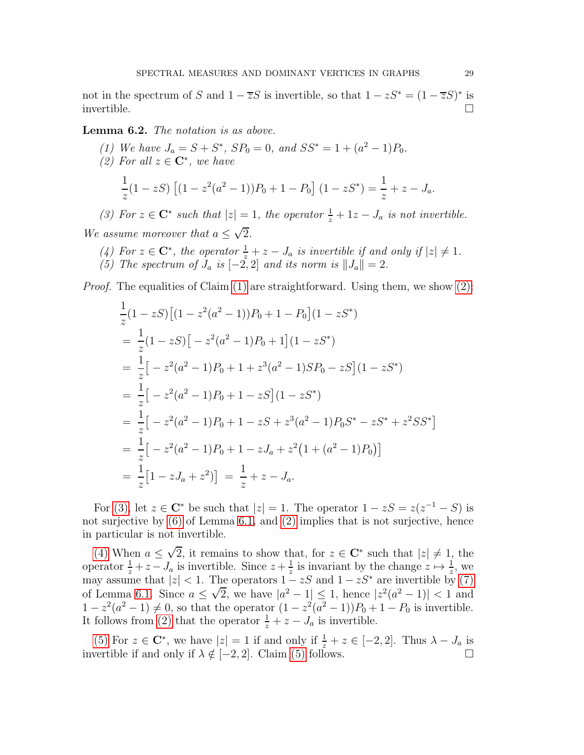not in the spectrum of S and  $1 - \overline{z}S$  is invertible, so that  $1 - zS^* = (1 - \overline{z}S)^*$  is invertible.  $\Box$ 

### <span id="page-28-5"></span><span id="page-28-1"></span><span id="page-28-0"></span>Lemma 6.2. *The notation is as above.*

- (1) We have  $J_a = S + S^*$ ,  $SP_0 = 0$ , and  $SS^* = 1 + (a^2 1)P_0$ .
- *(2)* For all  $z \in \mathbb{C}^*$ , we have

$$
\frac{1}{z}(1-zS)\left[(1-z^2(a^2-1))P_0+1-P_0\right](1-zS^*)=\frac{1}{z}+z-J_a.
$$

<span id="page-28-2"></span>(3) For  $z \in \mathbb{C}^*$  such that  $|z| = 1$ , the operator  $\frac{1}{z} + 1z - J_a$  is not invertible.

<span id="page-28-3"></span>*We assume moreover that*  $a \leq \sqrt{2}$ *.* 

- <span id="page-28-4"></span>(4) For  $z \in \mathbb{C}^*$ , the operator  $\frac{1}{z} + z - J_a$  is invertible if and only if  $|z| \neq 1$ .
- *(5) The spectrum of*  $J_a$  *is*  $[-2, 2]$  *and its norm is*  $||J_a|| = 2$ *.*

*Proof.* The equalities of Claim [\(1\)](#page-28-0) are straightforward. Using them, we show [\(2\):](#page-28-1)

$$
\frac{1}{z}(1 - zS)\left[(1 - z^2(a^2 - 1))P_0 + 1 - P_0\right](1 - zS^*)
$$
\n
$$
= \frac{1}{z}(1 - zS)\left[-z^2(a^2 - 1)P_0 + 1\right](1 - zS^*)
$$
\n
$$
= \frac{1}{z}\left[-z^2(a^2 - 1)P_0 + 1 + z^3(a^2 - 1)SP_0 - zS\right](1 - zS^*)
$$
\n
$$
= \frac{1}{z}\left[-z^2(a^2 - 1)P_0 + 1 - zS\right](1 - zS^*)
$$
\n
$$
= \frac{1}{z}\left[-z^2(a^2 - 1)P_0 + 1 - zS + z^3(a^2 - 1)P_0S^* - zS^* + z^2SS^*\right]
$$
\n
$$
= \frac{1}{z}\left[-z^2(a^2 - 1)P_0 + 1 - zJ_a + z^2(1 + (a^2 - 1)P_0)\right]
$$
\n
$$
= \frac{1}{z}\left[1 - zJ_a + z^2\right] = \frac{1}{z} + z - J_a.
$$

For [\(3\),](#page-28-2) let  $z \in \mathbb{C}^*$  be such that  $|z| = 1$ . The operator  $1 - zS = z(z^{-1} - S)$  is not surjective by [\(6\)](#page-27-5) of Lemma [6.1,](#page-27-7) and [\(2\)](#page-28-1) implies that is not surjective, hence in particular is not invertible.

[\(4\)](#page-28-3) When  $a \leq \sqrt{2}$ , it remains to show that, for  $z \in \mathbb{C}^*$  such that  $|z| \neq 1$ , the operator  $\frac{1}{z} + z - J_a$  is invertible. Since  $z + \frac{1}{z}$  $\frac{1}{z}$  is invariant by the change  $z \mapsto \frac{1}{z}$ , we may assume that  $|z| < 1$ . The operators  $1 - zS$  and  $1 - zS^*$  are invertible by [\(7\)](#page-27-6) of Lemma [6.1.](#page-27-7) Since  $a \le \sqrt{2}$ , we have  $|a^2 - 1| \le 1$ , hence  $|z^2(a^2 - 1)| < 1$  and  $1 - z^2(a^2 - 1) \neq 0$ , so that the operator  $(1 - z^2(a^2 - 1))P_0 + 1 - P_0$  is invertible. It follows from [\(2\)](#page-28-1) that the operator  $\frac{1}{z} + z - J_a$  is invertible.

[\(5\)](#page-28-4) For  $z \in \mathbb{C}^*$ , we have  $|z| = 1$  if and only if  $\frac{1}{z} + z \in [-2, 2]$ . Thus  $\lambda - J_a$  is invertible if and only if  $\lambda \notin [-2, 2]$ . Claim [\(5\)](#page-28-4) follows.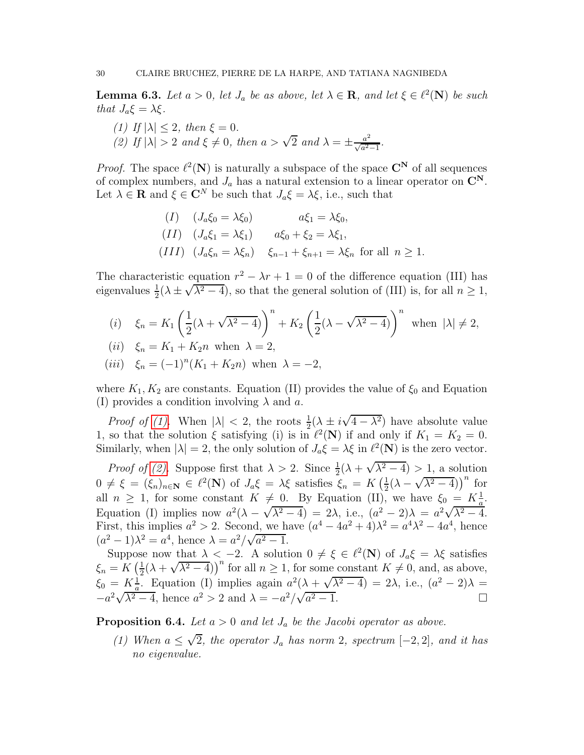<span id="page-29-3"></span><span id="page-29-0"></span>**Lemma 6.3.** Let  $a > 0$ , let  $J_a$  be as above, let  $\lambda \in \mathbb{R}$ , and let  $\xi \in \ell^2(\mathbb{N})$  be such *that*  $J_a \xi = \lambda \xi$ *.* 

<span id="page-29-1"></span>*(1)* If  $|\lambda| \leq 2$ , then  $\xi = 0$ . (2) If  $|\lambda| > 2$  *and*  $\xi \neq 0$ , *then*  $a > \sqrt{2}$  *and*  $\lambda = \pm \frac{a^2}{\sqrt{a^2}}$ .  $rac{a^2}{\sqrt{a^2-1}}$ .

*Proof.* The space  $\ell^2(\mathbf{N})$  is naturally a subspace of the space  $\mathbf{C}^{\mathbf{N}}$  of all sequences of complex numbers, and  $J_a$  has a natural extension to a linear operator on  $\mathbb{C}^N$ . Let  $\lambda \in \mathbf{R}$  and  $\xi \in \mathbf{C}^N$  be such that  $J_a \xi = \lambda \xi$ , i.e., such that

$$
(I) \quad (J_a \xi_0 = \lambda \xi_0) \qquad a\xi_1 = \lambda \xi_0,
$$
  
\n
$$
(II) \quad (J_a \xi_1 = \lambda \xi_1) \qquad a\xi_0 + \xi_2 = \lambda \xi_1,
$$
  
\n
$$
(III) \quad (J_a \xi_n = \lambda \xi_n) \qquad \xi_{n-1} + \xi_{n+1} = \lambda \xi_n \text{ for all } n \ge 1.
$$

The characteristic equation  $r^2 - \lambda r + 1 = 0$  of the difference equation (III) has eigenvalues  $\frac{1}{2}(\lambda \pm \sqrt{\lambda^2 - 4})$ , so that the general solution of (III) is, for all  $n \ge 1$ ,

(i) 
$$
\xi_n = K_1 \left( \frac{1}{2} (\lambda + \sqrt{\lambda^2 - 4}) \right)^n + K_2 \left( \frac{1}{2} (\lambda - \sqrt{\lambda^2 - 4}) \right)^n
$$
 when  $|\lambda| \neq 2$ ,  
(ii)  $\xi_n = K_1 + K_2 n$  when  $\lambda = 2$ ,

(*iii*) 
$$
\xi_n = (-1)^n (K_1 + K_2 n)
$$
 when  $\lambda = -2$ ,

where  $K_1, K_2$  are constants. Equation (II) provides the value of  $\xi_0$  and Equation (I) provides a condition involving  $\lambda$  and a.

*Proof of (1)*. When  $|\lambda| < 2$ , the roots  $\frac{1}{2}(\lambda \pm i\sqrt{4-\lambda^2})$  have absolute value 1, so that the solution  $\xi$  satisfying (i) is in  $\ell^2(\mathbf{N})$  if and only if  $K_1 = K_2 = 0$ . Similarly, when  $|\lambda| = 2$ , the only solution of  $J_a \xi = \lambda \xi$  in  $\ell^2(\mathbf{N})$  is the zero vector.

*Proof of (2)*. Suppose first that  $\lambda > 2$ . Since  $\frac{1}{2}(\lambda + \sqrt{\lambda^2 - 4}) > 1$ , a solution  $0 \neq \xi = (\xi_n)_{n \in \mathbb{N}} \in \ell^2(\mathbb{N})$  of  $J_a \xi = \lambda \xi$  satisfies  $\xi_n = K\left(\frac{1}{2}\right)$  $\frac{1}{2}(\lambda - \sqrt{\lambda^2 - 4})^n$  for all  $n \geq 1$ , for some constant  $K \neq 0$ . By Equation (II), we have  $\xi_0 = K_{\frac{1}{a}}^{\frac{1}{b}}$ . Equation (I) implies now  $a^2(\lambda - \sqrt{\lambda^2 - 4}) = 2\lambda$ , i.e.,  $(a^2 - 2)\lambda = a^2\sqrt{\lambda^2 - 4}$ . First, this implies  $a^2 > 2$ . Second, we have  $(a^4 - 4a^2 + 4)\lambda^2 = a^4\lambda^2 - 4a^4$ , hence  $(a^2 - 1)\lambda^2 = a^4$ , hence  $\lambda = a^2/\sqrt{a^2 - 1}$ .

Suppose now that  $\lambda < -2$ . A solution  $0 \neq \xi \in \ell^2(\mathbb{N})$  of  $J_a \xi = \lambda \xi$  satisfies  $\xi_n = K\left(\frac{1}{2}\right)$  $\frac{1}{2}(\lambda + \sqrt{\lambda^2 - 4})^n$  for all  $n \ge 1$ , for some constant  $K \ne 0$ , and, as above,  $\xi_0 = K_a^{\frac{1}{2}}$ . Equation (I) implies again  $a^2(\lambda + \sqrt{\lambda^2 - 4}) = 2\lambda$ , i.e.,  $(a^2 - 2)\lambda =$  $-a^2\sqrt{\lambda^2-4}$ , hence  $a^2 > 2$  and  $\lambda = -a^2/\sqrt{a}$  $\sqrt{2-1}$ .

<span id="page-29-4"></span><span id="page-29-2"></span>**Proposition 6.4.** *Let*  $a > 0$  *and let*  $J_a$  *be the Jacobi operator as above.* 

*(1)* When  $a ≤ √{2}$ *, the operator*  $J_a$  *has norm* 2*, spectrum*  $[-2, 2]$ *, and it has no eigenvalue.*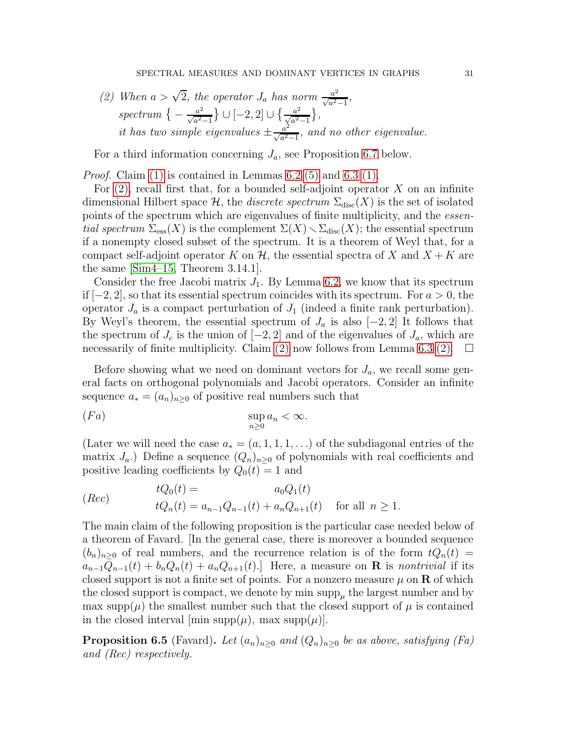<span id="page-30-0"></span>(2) When 
$$
a > \sqrt{2}
$$
, the operator  $J_a$  has norm  $\frac{a^2}{\sqrt{a^2-1}}$ ,  
spectrum  $\left\{-\frac{a^2}{\sqrt{a^2-1}}\right\} \cup \left[-2, 2\right] \cup \left\{\frac{a^2}{\sqrt{a^2-1}}\right\}$ ,  
it has two simple eigenvalues  $\pm \frac{a^2}{\sqrt{a^2-1}}$ , and no other eigenvalue.

For a third information concerning  $J_a$ , see Proposition [6.7](#page-32-1) below.

*Proof.* Claim [\(1\)](#page-29-2) is contained in Lemmas [6.2](#page-28-5) [\(5\)](#page-28-4) and [6.3](#page-29-3) [\(1\).](#page-29-0)

For  $(2)$ , recall first that, for a bounded self-adjoint operator X on an infinite dimensional Hilbert space  $\mathcal{H}$ , the *discrete spectrum*  $\Sigma_{\text{disc}}(X)$  is the set of isolated points of the spectrum which are eigenvalues of finite multiplicity, and the *essential spectrum*  $\Sigma_{\text{ess}}(X)$  is the complement  $\Sigma(X) \setminus \Sigma_{\text{disc}}(X)$ ; the essential spectrum if a nonempty closed subset of the spectrum. It is a theorem of Weyl that, for a compact self-adjoint operator K on  $\mathcal{H}$ , the essential spectra of X and  $X + K$  are the same [\[Sim4–15,](#page-38-5) Theorem 3.14.1].

Consider the free Jacobi matrix  $J_1$ . By Lemma [6.2,](#page-28-5) we know that its spectrum if  $[-2, 2]$ , so that its essential spectrum coincides with its spectrum. For  $a > 0$ , the operator  $J_a$  is a compact perturbation of  $J_1$  (indeed a finite rank perturbation). By Weyl's theorem, the essential spectrum of  $J_a$  is also  $[-2, 2]$  It follows that the spectrum of  $J_c$  is the union of  $[-2, 2]$  and of the eigenvalues of  $J_a$ , which are necessarily of finite multiplicity. Claim [\(2\)](#page-30-0) now follows from Lemma [6.3](#page-29-3) [\(2\).](#page-29-1)  $\Box$ 

Before showing what we need on dominant vectors for  $J_a$ , we recall some general facts on orthogonal polynomials and Jacobi operators. Consider an infinite sequence  $a_* = (a_n)_{n \geq 0}$  of positive real numbers such that

$$
\operatorname{sup}_{n\geq 0} a_n < \infty.
$$

(Later we will need the case  $a_*(a,1,1,1,\ldots)$  of the subdiagonal entries of the matrix  $J_a$ .) Define a sequence  $(Q_n)_{n>0}$  of polynomials with real coefficients and positive leading coefficients by  $Q_0(t) = 1$  and

$$
(Rec) \t tQ_0(t) = a_0Q_1(t) \t tQ_n(t) = a_{n-1}Q_{n-1}(t) + a_nQ_{n+1}(t) \t for all  $n \ge 1$ .
$$

The main claim of the following proposition is the particular case needed below of a theorem of Favard. [In the general case, there is moreover a bounded sequence  $(b_n)_{n>0}$  of real numbers, and the recurrence relation is of the form  $tQ_n(t)$  =  $a_{n-1}Q_{n-1}(t) + b_nQ_n(t) + a_nQ_{n+1}(t)$ . Here, a measure on **R** is *nontrivial* if its closed support is not a finite set of points. For a nonzero measure  $\mu$  on **R** of which the closed support is compact, we denote by min  $\text{supp}_{\mu}$  the largest number and by max supp( $\mu$ ) the smallest number such that the closed support of  $\mu$  is contained in the closed interval  $[\min \text{supp}(\mu)]$ , max supp $(\mu)]$ .

<span id="page-30-1"></span>**Proposition 6.5** (Favard). Let  $(a_n)_{n>0}$  and  $(Q_n)_{n>0}$  be as above, satisfying (Fa) *and (Rec) respectively.*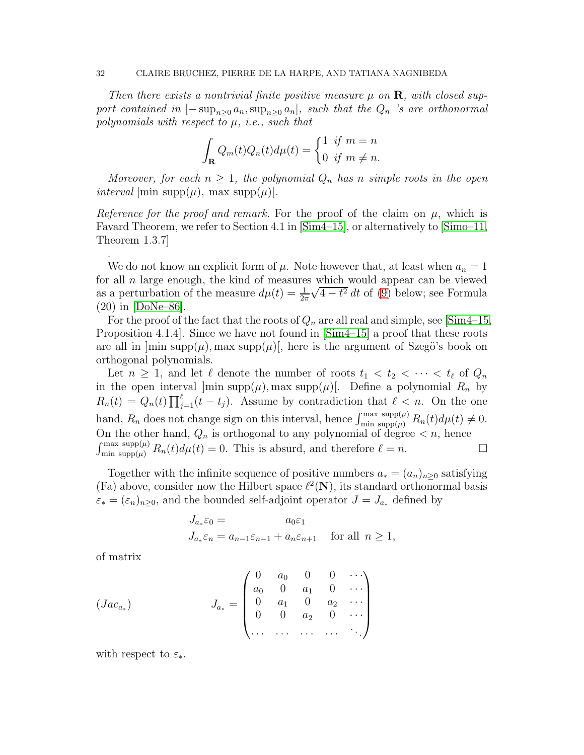*Then there exists a nontrivial finite positive measure*  $\mu$  on **R**, with closed sup*port contained in*  $[-\sup_{n>0} a_n, \sup_{n>0} a_n]$ *, such that the*  $Q_n$  *'s are orthonormal polynomials with respect to* µ*, i.e., such that*

$$
\int_{\mathbf{R}} Q_m(t) Q_n(t) d\mu(t) = \begin{cases} 1 & \text{if } m = n \\ 0 & \text{if } m \neq n. \end{cases}
$$

*Moreover, for each*  $n \geq 1$ *, the polynomial*  $Q_n$  *has n simple roots in the open interval*  $\text{min supp}(\mu)$ , max supp $(\mu)$ [.

*Reference for the proof and remark.* For the proof of the claim on  $\mu$ , which is Favard Theorem, we refer to Section 4.1 in [\[Sim4–15\]](#page-38-5), or alternatively to [\[Simo–11,](#page-38-18) Theorem 1.3.7]

We do not know an explicit form of  $\mu$ . Note however that, at least when  $a_n = 1$ for all  $n$  large enough, the kind of measures which would appear can be viewed as a perturbation of the measure  $d\mu(t) = \frac{1}{2\pi}$  $\sqrt{4-t^2} dt$  of [\(9\)](#page-34-1) below; see Formula  $(20)$  in  $|DoNe-86|$ .

For the proof of the fact that the roots of  $Q_n$  are all real and simple, see [\[Sim4–15,](#page-38-5) Proposition 4.1.4]. Since we have not found in [\[Sim4–15\]](#page-38-5) a proof that these roots are all in  $|\min \text{supp}(\mu)|$ , max  $\text{supp}(\mu)|$ , here is the argument of Szegö's book on orthogonal polynomials.

Let  $n \geq 1$ , and let  $\ell$  denote the number of roots  $t_1 < t_2 < \cdots < t_{\ell}$  of  $Q_n$ in the open interval  $\limsup p(\mu)$ , max supp $(\mu)$ . Define a polynomial  $R_n$  by  $R_n(t) = Q_n(t) \prod_{j=1}^{\ell} (t-t_j)$ . Assume by contradiction that  $\ell < n$ . On the one hand,  $R_n$  does not change sign on this interval, hence  $\int_{\min \text{ supp}(\mu)}^{\max \text{ supp}(\mu)} R_n(t) d\mu(t) \neq 0$ . On the other hand,  $Q_n$  is orthogonal to any polynomial of degree  $\lt n$ , hence  $\int_{\min \text{ supp}(\mu)}^{\max \text{ supp}(\mu)} R_n(t) d\mu(t) = 0.$  This is absurd, and therefore  $\ell = n$ .

Together with the infinite sequence of positive numbers  $a_* = (a_n)_{n>0}$  satisfying (Fa) above, consider now the Hilbert space  $\ell^2(\mathbf{N})$ , its standard orthonormal basis  $\varepsilon_* = (\varepsilon_n)_{n \geq 0}$ , and the bounded self-adjoint operator  $J = J_{a_*}$  defined by

$$
J_{a_*}\varepsilon_0 = a_0\varepsilon_1
$$
  

$$
J_{a_*}\varepsilon_n = a_{n-1}\varepsilon_{n-1} + a_n\varepsilon_{n+1} \quad \text{for all } n \ge 1,
$$

of matrix

.

$$
(Jac_{a_{*}})
$$
\n
$$
J_{a_{*}} = \begin{pmatrix} 0 & a_{0} & 0 & 0 & \cdots \\ a_{0} & 0 & a_{1} & 0 & \cdots \\ 0 & a_{1} & 0 & a_{2} & \cdots \\ 0 & 0 & a_{2} & 0 & \cdots \\ \cdots & \cdots & \cdots & \cdots & \cdots \end{pmatrix}
$$

with respect to  $\varepsilon_*$ .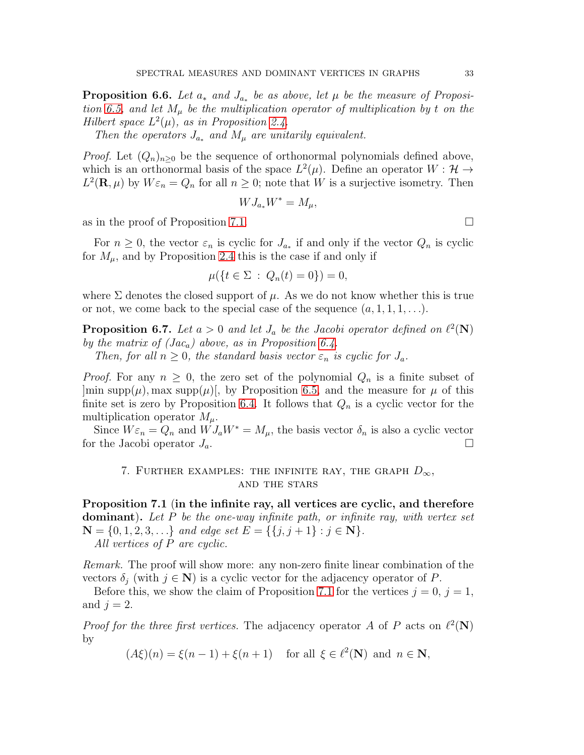**Proposition 6.6.** Let  $a_*$  and  $J_{a_*}$  be as above, let  $\mu$  be the measure of Proposi*tion* [6.5,](#page-30-1) and let  $M_{\mu}$  be the multiplication operator of multiplication by t on the *Hilbert space*  $L^2(\mu)$ *, as in Proposition [2.4.](#page-4-0)* 

*Then the operators*  $J_{a_*}$  *and*  $M_{\mu}$  *are unitarily equivalent.* 

*Proof.* Let  $(Q_n)_{n>0}$  be the sequence of orthonormal polynomials defined above, which is an orthonormal basis of the space  $L^2(\mu)$ . Define an operator  $W : \mathcal{H} \to$  $L^2(\mathbf{R}, \mu)$  by  $W \varepsilon_n = Q_n$  for all  $n \geq 0$ ; note that W is a surjective isometry. Then

$$
WJ_{a_*}W^* = M_\mu,
$$

as in the proof of Proposition [7.1.](#page-32-2)

For  $n \geq 0$ , the vector  $\varepsilon_n$  is cyclic for  $J_{a_*}$  if and only if the vector  $Q_n$  is cyclic for  $M_{\mu}$ , and by Proposition [2.4](#page-4-0) this is the case if and only if

$$
\mu({t \in \Sigma : Q_n(t) = 0}) = 0,
$$

where  $\Sigma$  denotes the closed support of  $\mu$ . As we do not know whether this is true or not, we come back to the special case of the sequence  $(a, 1, 1, 1, \ldots)$ .

<span id="page-32-1"></span>**Proposition 6.7.** Let  $a > 0$  and let  $J_a$  be the Jacobi operator defined on  $\ell^2(\mathbf{N})$ *by the matrix of (Jac*a*) above, as in Proposition [6.4.](#page-29-4)*

*Then, for all*  $n \geq 0$ *, the standard basis vector*  $\varepsilon_n$  *is cyclic for*  $J_a$ *.* 

*Proof.* For any  $n \geq 0$ , the zero set of the polynomial  $Q_n$  is a finite subset of  $\lvert \min \text{supp}(\mu), \max \text{supp}(\mu) \rvert$ , by Proposition [6.5,](#page-30-1) and the measure for  $\mu$  of this finite set is zero by Proposition [6.4.](#page-29-4) It follows that  $Q_n$  is a cyclic vector for the multiplication operator  $M_{\mu}$ .

<span id="page-32-0"></span>Since  $W \varepsilon_n = Q_n$  and  $W J_a W^* = M_\mu$ , the basis vector  $\delta_n$  is also a cyclic vector for the Jacobi operator  $J_a$ .

### 7. FURTHER EXAMPLES: THE INFINITE RAY, THE GRAPH  $D_{\infty}$ , and the stars

<span id="page-32-2"></span>Proposition 7.1 (in the infinite ray, all vertices are cyclic, and therefore dominant). *Let* P *be the one-way infinite path, or infinite ray, with vertex set*  $N = \{0, 1, 2, 3, \ldots\}$  *and edge set*  $E = \{\{j, j + 1\} : j \in \mathbb{N}\}.$ *All vertices of* P *are cyclic.*

*Remark.* The proof will show more: any non-zero finite linear combination of the vectors  $\delta_i$  (with  $j \in \mathbb{N}$ ) is a cyclic vector for the adjacency operator of P.

Before this, we show the claim of Proposition [7.1](#page-32-2) for the vertices  $j = 0, j = 1$ , and  $j = 2$ .

*Proof for the three first vertices.* The adjacency operator A of P acts on  $\ell^2(\mathbf{N})$ by

 $(A\xi)(n) = \xi(n-1) + \xi(n+1)$  for all  $\xi \in \ell^2(\mathbf{N})$  and  $n \in \mathbf{N}$ ,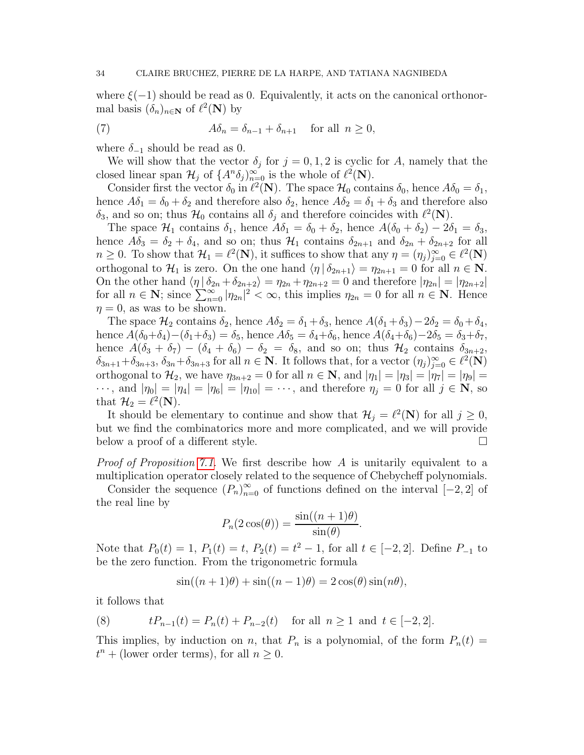where  $\xi(-1)$  should be read as 0. Equivalently, it acts on the canonical orthonormal basis  $(\delta_n)_{n\in\mathbb{N}}$  of  $\ell^2(\mathbb{N})$  by

(7) 
$$
A\delta_n = \delta_{n-1} + \delta_{n+1} \quad \text{for all } n \ge 0,
$$

where  $\delta_{-1}$  should be read as 0.

We will show that the vector  $\delta_j$  for  $j = 0, 1, 2$  is cyclic for A, namely that the closed linear span  $\mathcal{H}_j$  of  $\{A^n \delta_j\}_{n=0}^{\infty}$  is the whole of  $\ell^2(\mathbf{N})$ .

Consider first the vector  $\delta_0$  in  $\ell^2(\mathbf{N})$ . The space  $\mathcal{H}_0$  contains  $\delta_0$ , hence  $A\delta_0 = \delta_1$ , hence  $A\delta_1 = \delta_0 + \delta_2$  and therefore also  $\delta_2$ , hence  $A\delta_2 = \delta_1 + \delta_3$  and therefore also  $\delta_3$ , and so on; thus  $\mathcal{H}_0$  contains all  $\delta_j$  and therefore coincides with  $\ell^2(\mathbf{N})$ .

The space  $\mathcal{H}_1$  contains  $\delta_1$ , hence  $A\delta_1 = \delta_0 + \delta_2$ , hence  $A(\delta_0 + \delta_2) - 2\delta_1 = \delta_3$ , hence  $A\delta_3 = \delta_2 + \delta_4$ , and so on; thus  $\mathcal{H}_1$  contains  $\delta_{2n+1}$  and  $\delta_{2n} + \delta_{2n+2}$  for all  $n \geq 0$ . To show that  $\mathcal{H}_1 = \ell^2(\mathbf{N})$ , it suffices to show that any  $\eta = (\eta_j)_{j=0}^{\infty} \in \ell^2(\mathbf{N})$ orthogonal to  $\mathcal{H}_1$  is zero. On the one hand  $\langle \eta | \delta_{2n+1} \rangle = \eta_{2n+1} = 0$  for all  $n \in \mathbb{N}$ . On the other hand  $\langle \eta | \delta_{2n} + \delta_{2n+2} \rangle = \eta_{2n} + \eta_{2n+2} = 0$  and therefore  $|\eta_{2n}| = |\eta_{2n+2}|$ for all  $n \in \mathbb{N}$ ; since  $\sum_{n=0}^{\infty} |\eta_{2n}|^2 < \infty$ , this implies  $\eta_{2n} = 0$  for all  $n \in \mathbb{N}$ . Hence  $\eta = 0$ , as was to be shown.

The space  $\mathcal{H}_2$  contains  $\delta_2$ , hence  $A\delta_2 = \delta_1 + \delta_3$ , hence  $A(\delta_1 + \delta_3) - 2\delta_2 = \delta_0 + \delta_4$ , hence  $A(\delta_0+\delta_4)-(\delta_1+\delta_3)=\delta_5$ , hence  $A\delta_5=\delta_4+\delta_6$ , hence  $A(\delta_4+\delta_6)-2\delta_5=\delta_3+\delta_7$ , hence  $A(\delta_3 + \delta_7) - (\delta_4 + \delta_6) - \delta_2 = \delta_8$ , and so on; thus  $\mathcal{H}_2$  contains  $\delta_{3n+2}$ ,  $\delta_{3n+1}+\delta_{3n+3}, \delta_{3n}+\delta_{3n+3}$  for all  $n \in \mathbb{N}$ . It follows that, for a vector  $(\eta_j)_{j=0}^{\infty} \in \ell^2(\mathbb{N})$ orthogonal to  $\mathcal{H}_2$ , we have  $\eta_{3n+2} = 0$  for all  $n \in \mathbb{N}$ , and  $|\eta_1| = |\eta_3| = |\eta_7| = |\eta_9| =$  $\cdots$ , and  $|\eta_0| = |\eta_4| = |\eta_6| = |\eta_{10}| = \cdots$ , and therefore  $\eta_i = 0$  for all  $j \in \mathbb{N}$ , so that  $\mathcal{H}_2 = \ell^2(\mathbf{N}).$ 

It should be elementary to continue and show that  $\mathcal{H}_j = \ell^2(\mathbf{N})$  for all  $j \geq 0$ , but we find the combinatorics more and more complicated, and we will provide below a proof of a different style.

*Proof of Proposition [7.1.](#page-32-2)* We first describe how A is unitarily equivalent to a multiplication operator closely related to the sequence of Chebycheff polynomials.

Consider the sequence  $(P_n)_{n=0}^{\infty}$  of functions defined on the interval  $[-2,2]$  of the real line by

$$
P_n(2\cos(\theta)) = \frac{\sin((n+1)\theta)}{\sin(\theta)}.
$$

Note that  $P_0(t) = 1$ ,  $P_1(t) = t$ ,  $P_2(t) = t^2 - 1$ , for all  $t \in [-2, 2]$ . Define  $P_{-1}$  to be the zero function. From the trigonometric formula

<span id="page-33-0"></span>
$$
\sin((n+1)\theta) + \sin((n-1)\theta) = 2\cos(\theta)\sin(n\theta),
$$

it follows that

(8) 
$$
tP_{n-1}(t) = P_n(t) + P_{n-2}(t) \text{ for all } n \ge 1 \text{ and } t \in [-2, 2].
$$

This implies, by induction on n, that  $P_n$  is a polynomial, of the form  $P_n(t) =$  $t^{n}$  + (lower order terms), for all  $n \geq 0$ .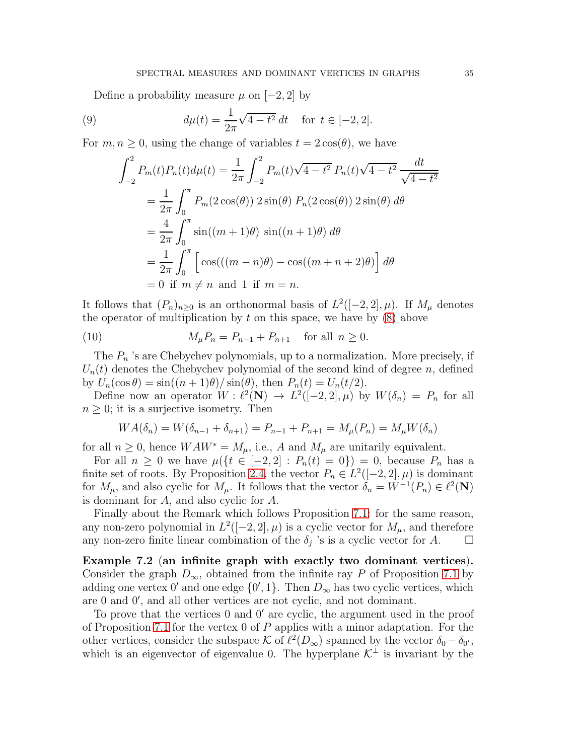Define a probability measure  $\mu$  on [−2, 2] by

(9) 
$$
d\mu(t) = \frac{1}{2\pi} \sqrt{4 - t^2} dt \quad \text{for } t \in [-2, 2].
$$

For  $m, n \geq 0$ , using the change of variables  $t = 2 \cos(\theta)$ , we have

<span id="page-34-1"></span>
$$
\int_{-2}^{2} P_m(t) P_n(t) d\mu(t) = \frac{1}{2\pi} \int_{-2}^{2} P_m(t) \sqrt{4 - t^2} P_n(t) \sqrt{4 - t^2} \frac{dt}{\sqrt{4 - t^2}}
$$
  
=  $\frac{1}{2\pi} \int_{0}^{\pi} P_m(2 \cos(\theta)) 2 \sin(\theta) P_n(2 \cos(\theta)) 2 \sin(\theta) d\theta$   
=  $\frac{4}{2\pi} \int_{0}^{\pi} \sin((m + 1)\theta) \sin((n + 1)\theta) d\theta$   
=  $\frac{1}{2\pi} \int_{0}^{\pi} \left[ \cos(((m - n)\theta)) - \cos((m + n + 2)\theta) \right] d\theta$   
= 0 if  $m \neq n$  and 1 if  $m = n$ .

It follows that  $(P_n)_{n\geq 0}$  is an orthonormal basis of  $L^2([-2,2],\mu)$ . If  $M_\mu$  denotes the operator of multiplication by  $t$  on this space, we have by  $(8)$  above

(10) 
$$
M_{\mu}P_{n} = P_{n-1} + P_{n+1} \text{ for all } n \geq 0.
$$

The  $P_n$  's are Chebychev polynomials, up to a normalization. More precisely, if  $U_n(t)$  denotes the Chebychev polynomial of the second kind of degree n, defined by  $U_n(\cos \theta) = \sin((n+1)\theta)/\sin(\theta)$ , then  $P_n(t) = U_n(t/2)$ .

Define now an operator  $W: \ell^2(\mathbf{N}) \to L^2([-2,2], \mu)$  by  $W(\delta_n) = P_n$  for all  $n \geq 0$ ; it is a surjective isometry. Then

$$
WA(\delta_n) = W(\delta_{n-1} + \delta_{n+1}) = P_{n-1} + P_{n+1} = M_\mu(P_n) = M_\mu W(\delta_n)
$$

for all  $n \geq 0$ , hence  $WAW^* = M_\mu$ , i.e., A and  $M_\mu$  are unitarily equivalent.

For all  $n \geq 0$  we have  $\mu({t \in [-2,2] : P_n(t) = 0}) = 0$ , because  $P_n$  has a finite set of roots. By Proposition [2.4,](#page-4-0) the vector  $P_n \in L^2([-2, 2], \mu)$  is dominant for  $M_{\mu}$ , and also cyclic for  $M_{\mu}$ . It follows that the vector  $\delta_n = W^{-1}(P_n) \in \ell^2(\mathbf{N})$ is dominant for A, and also cyclic for A.

Finally about the Remark which follows Proposition [7.1:](#page-32-2) for the same reason, any non-zero polynomial in  $L^2([-2,2],\mu)$  is a cyclic vector for  $M_{\mu}$ , and therefore any non-zero finite linear combination of the  $\delta_j$  's is a cyclic vector for A.  $\Box$ 

<span id="page-34-0"></span>Example 7.2 (an infinite graph with exactly two dominant vertices). Consider the graph  $D_{\infty}$ , obtained from the infinite ray P of Proposition [7.1](#page-32-2) by adding one vertex  $0'$  and one edge  $\{0', 1\}$ . Then  $D_{\infty}$  has two cyclic vertices, which are 0 and 0′ , and all other vertices are not cyclic, and not dominant.

To prove that the vertices 0 and 0′ are cyclic, the argument used in the proof of Proposition [7.1](#page-32-2) for the vertex 0 of P applies with a minor adaptation. For the other vertices, consider the subspace K of  $\ell^2(D_\infty)$  spanned by the vector  $\delta_0 - \delta_{0'}$ , which is an eigenvector of eigenvalue 0. The hyperplane  $\mathcal{K}^{\perp}$  is invariant by the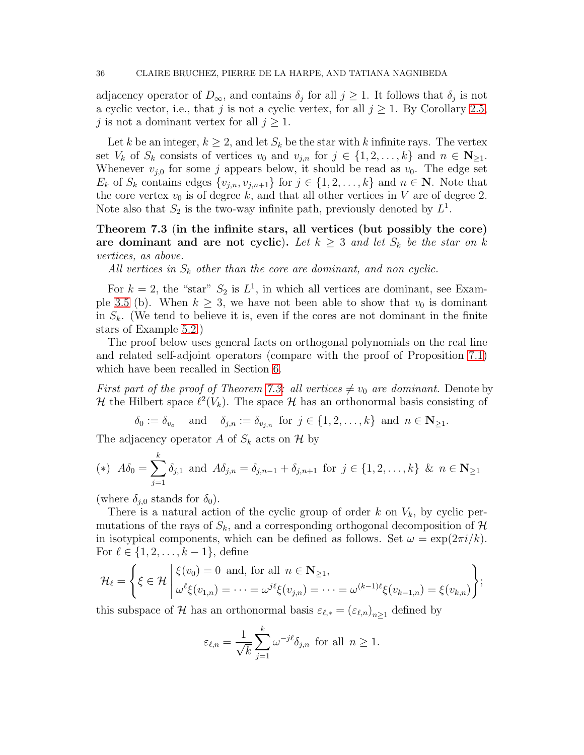adjacency operator of  $D_{\infty}$ , and contains  $\delta_j$  for all  $j \geq 1$ . It follows that  $\delta_j$  is not a cyclic vector, i.e., that j is not a cyclic vertex, for all  $j \geq 1$ . By Corollary [2.5,](#page-5-0) j is not a dominant vertex for all  $j \geq 1$ .

Let k be an integer,  $k \geq 2$ , and let  $S_k$  be the star with k infinite rays. The vertex set  $V_k$  of  $S_k$  consists of vertices  $v_0$  and  $v_{j,n}$  for  $j \in \{1, 2, \ldots, k\}$  and  $n \in \mathbb{N}_{\geq 1}$ . Whenever  $v_{i,0}$  for some j appears below, it should be read as  $v_0$ . The edge set  $E_k$  of  $S_k$  contains edges  $\{v_{j,n}, v_{j,n+1}\}$  for  $j \in \{1, 2, \ldots, k\}$  and  $n \in \mathbb{N}$ . Note that the core vertex  $v_0$  is of degree k, and that all other vertices in V are of degree 2. Note also that  $S_2$  is the two-way infinite path, previously denoted by  $L^1$ .

<span id="page-35-0"></span>Theorem 7.3 (in the infinite stars, all vertices (but possibly the core) are dominant and are not cyclic). Let  $k \geq 3$  and let  $S_k$  be the star on k *vertices, as above.*

All vertices in  $S_k$  other than the core are dominant, and non cyclic.

For  $k = 2$ , the "star"  $S_2$  is  $L^1$ , in which all vertices are dominant, see Exam-ple [3.5](#page-11-0) (b). When  $k \geq 3$ , we have not been able to show that  $v_0$  is dominant in  $S_k$ . (We tend to believe it is, even if the cores are not dominant in the finite stars of Example [5.2.](#page-18-1))

The proof below uses general facts on orthogonal polynomials on the real line and related self-adjoint operators (compare with the proof of Proposition [7.1\)](#page-32-2) which have been recalled in Section [6.](#page-26-0)

*First part of the proof of Theorem [7.3:](#page-35-0) all vertices*  $\neq v_0$  *are dominant.* Denote by H the Hilbert space  $\ell^2(V_k)$ . The space H has an orthonormal basis consisting of

 $\delta_0 := \delta_{v_o}$  and  $\delta_{j,n} := \delta_{v_{j,n}}$  for  $j \in \{1, 2, \ldots, k\}$  and  $n \in \mathbb{N}_{\geq 1}$ .

The adjacency operator A of  $S_k$  acts on H by

(\*) 
$$
A\delta_0 = \sum_{j=1}^k \delta_{j,1}
$$
 and  $A\delta_{j,n} = \delta_{j,n-1} + \delta_{j,n+1}$  for  $j \in \{1, 2, ..., k\}$  &  $n \in \mathbb{N}_{\geq 1}$ 

(where  $\delta_{i,0}$  stands for  $\delta_0$ ).

There is a natural action of the cyclic group of order k on  $V_k$ , by cyclic permutations of the rays of  $S_k$ , and a corresponding orthogonal decomposition of  $\mathcal H$ in isotypical components, which can be defined as follows. Set  $\omega = \exp(2\pi i/k)$ . For  $\ell \in \{1, 2, ..., k-1\}$ , define

$$
\mathcal{H}_{\ell} = \left\{ \xi \in \mathcal{H} \middle| \begin{aligned} &\xi(v_0) = 0 \text{ and, for all } n \in \mathbf{N}_{\geq 1}, \\ &\omega^{\ell} \xi(v_{1,n}) = \cdots = \omega^{j\ell} \xi(v_{j,n}) = \cdots = \omega^{(k-1)\ell} \xi(v_{k-1,n}) = \xi(v_{k,n}) \end{aligned} \right\};
$$

this subspace of  $\mathcal H$  has an orthonormal basis  $\varepsilon_{\ell,*} = (\varepsilon_{\ell,n})_{n \geq 1}$  defined by

$$
\varepsilon_{\ell,n} = \frac{1}{\sqrt{k}} \sum_{j=1}^k \omega^{-j\ell} \delta_{j,n} \text{ for all } n \ge 1.
$$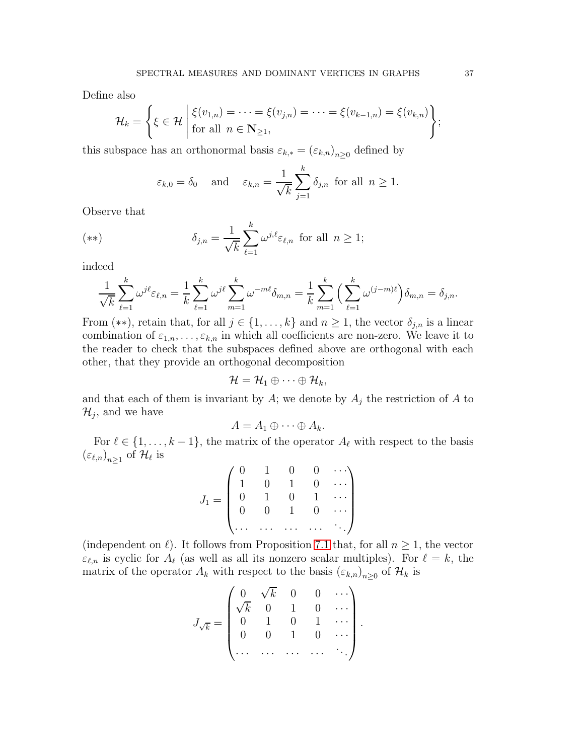Define also

$$
\mathcal{H}_k = \left\{ \xi \in \mathcal{H} \middle| \begin{aligned} &\xi(v_{1,n}) = \cdots = \xi(v_{j,n}) = \cdots = \xi(v_{k-1,n}) = \xi(v_{k,n}) \\ &\text{for all } n \in \mathbb{N}_{\geq 1}, \end{aligned} \right\};
$$

this subspace has an orthonormal basis  $\varepsilon_{k,*} = (\varepsilon_{k,n})_{n \geq 0}$  defined by

$$
\varepsilon_{k,0} = \delta_0
$$
 and  $\varepsilon_{k,n} = \frac{1}{\sqrt{k}} \sum_{j=1}^k \delta_{j,n}$  for all  $n \ge 1$ .

Observe that

$$
(**) \qquad \delta_{j,n} = \frac{1}{\sqrt{k}} \sum_{\ell=1}^{k} \omega^{j,\ell} \varepsilon_{\ell,n} \text{ for all } n \ge 1;
$$

indeed

$$
\frac{1}{\sqrt{k}} \sum_{\ell=1}^k \omega^{j\ell} \varepsilon_{\ell,n} = \frac{1}{k} \sum_{\ell=1}^k \omega^{j\ell} \sum_{m=1}^k \omega^{-m\ell} \delta_{m,n} = \frac{1}{k} \sum_{m=1}^k \left( \sum_{\ell=1}^k \omega^{(j-m)\ell} \right) \delta_{m,n} = \delta_{j,n}.
$$

From (\*\*), retain that, for all  $j \in \{1, ..., k\}$  and  $n \geq 1$ , the vector  $\delta_{j,n}$  is a linear combination of  $\varepsilon_{1,n},\ldots,\varepsilon_{k,n}$  in which all coefficients are non-zero. We leave it to the reader to check that the subspaces defined above are orthogonal with each other, that they provide an orthogonal decomposition

$$
\mathcal{H}=\mathcal{H}_1\oplus\cdots\oplus\mathcal{H}_k,
$$

and that each of them is invariant by  $A$ ; we denote by  $A_j$  the restriction of  $A$  to  $\mathcal{H}_j$ , and we have

$$
A=A_1\oplus\cdots\oplus A_k.
$$

For  $\ell \in \{1, \ldots, k-1\}$ , the matrix of the operator  $A_{\ell}$  with respect to the basis  $\left(\varepsilon_{\ell,n}\right)_{n\geq1}$  of  $\mathcal{H}_\ell$  is

$$
J_1 = \begin{pmatrix} 0 & 1 & 0 & 0 & \cdots \\ 1 & 0 & 1 & 0 & \cdots \\ 0 & 1 & 0 & 1 & \cdots \\ 0 & 0 & 1 & 0 & \cdots \\ \cdots & \cdots & \cdots & \cdots & \cdots \end{pmatrix}
$$

(independent on  $\ell$ ). It follows from Proposition [7.1](#page-32-2) that, for all  $n \geq 1$ , the vector  $\varepsilon_{\ell,n}$  is cyclic for  $A_{\ell}$  (as well as all its nonzero scalar multiples). For  $\ell = k$ , the matrix of the operator  $A_k$  with respect to the basis  $(\varepsilon_{k,n})_{n\geq 0}$  of  $\mathcal{H}_k$  is

$$
J_{\sqrt{k}} = \begin{pmatrix} 0 & \sqrt{k} & 0 & 0 & \cdots \\ \sqrt{k} & 0 & 1 & 0 & \cdots \\ 0 & 1 & 0 & 1 & \cdots \\ 0 & 0 & 1 & 0 & \cdots \\ \cdots & \cdots & \cdots & \cdots & \ddots \end{pmatrix}.
$$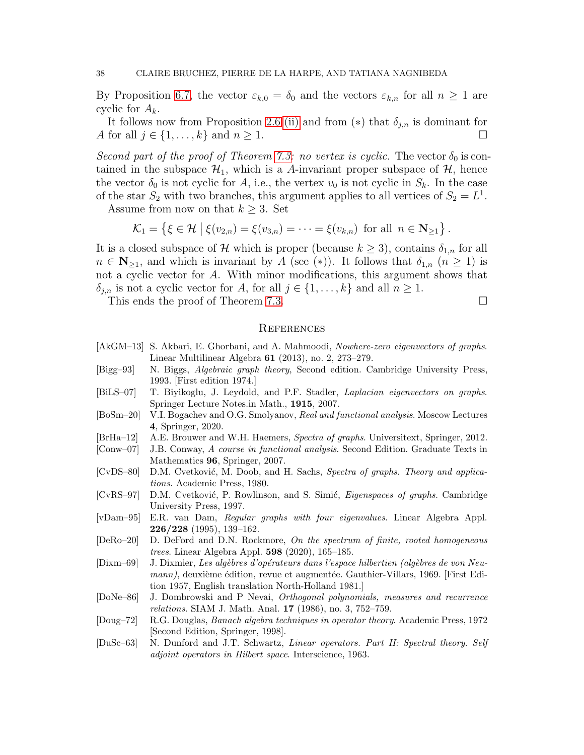By Proposition [6.7,](#page-32-1) the vector  $\varepsilon_{k,0} = \delta_0$  and the vectors  $\varepsilon_{k,n}$  for all  $n \geq 1$  are cyclic for  $A_k$ .

It follows now from Proposition [2.6](#page-5-1) [\(ii\)](#page-6-2) and from (\*) that  $\delta_{i,n}$  is dominant for A for all  $j \in \{1, \ldots, k\}$  and  $n \geq 1$ .

*Second part of the proof of Theorem [7.3:](#page-35-0) no vertex is cyclic.* The vector  $\delta_0$  is contained in the subspace  $\mathcal{H}_1$ , which is a A-invariant proper subspace of  $\mathcal{H}$ , hence the vector  $\delta_0$  is not cyclic for A, i.e., the vertex  $v_0$  is not cyclic in  $S_k$ . In the case of the star  $S_2$  with two branches, this argument applies to all vertices of  $S_2 = L^1$ .

Assume from now on that  $k \geq 3$ . Set

$$
\mathcal{K}_1 = \left\{ \xi \in \mathcal{H} \mid \xi(v_{2,n}) = \xi(v_{3,n}) = \cdots = \xi(v_{k,n}) \text{ for all } n \in \mathbb{N}_{\geq 1} \right\}.
$$

It is a closed subspace of H which is proper (because  $k \geq 3$ ), contains  $\delta_{1,n}$  for all  $n \in \mathbb{N}_{\geq 1}$ , and which is invariant by A (see (\*)). It follows that  $\delta_{1,n}$   $(n \geq 1)$  is not a cyclic vector for A. With minor modifications, this argument shows that  $\delta_{j,n}$  is not a cyclic vector for A, for all  $j \in \{1, \ldots, k\}$  and all  $n \geq 1$ .

This ends the proof of Theorem [7.3.](#page-35-0)

#### **REFERENCES**

- <span id="page-37-10"></span>[AkGM–13] S. Akbari, E. Ghorbani, and A. Mahmoodi, *Nowhere-zero eigenvectors of graphs*. Linear Multilinear Algebra 61 (2013), no. 2, 273–279.
- <span id="page-37-1"></span>[Bigg–93] N. Biggs, *Algebraic graph theory*, Second edition. Cambridge University Press, 1993. [First edition 1974.]
- <span id="page-37-9"></span>[BiLS–07] T. Biyikoglu, J. Leydold, and P.F. Stadler, *Laplacian eigenvectors on graphs*. Springer Lecture Notes.in Math., 1915, 2007.
- <span id="page-37-5"></span>[BoSm–20] V.I. Bogachev and O.G. Smolyanov, *Real and functional analysis*. Moscow Lectures 4, Springer, 2020.
- <span id="page-37-2"></span>[BrHa–12] A.E. Brouwer and W.H. Haemers, *Spectra of graphs*. Universitext, Springer, 2012.
- <span id="page-37-3"></span>[Conw–07] J.B. Conway, *A course in functional analysis*. Second Edition. Graduate Texts in Mathematics 96, Springer, 2007.
- <span id="page-37-0"></span>[CvDS–80] D.M. Cvetković, M. Doob, and H. Sachs, *Spectra of graphs. Theory and applications.* Academic Press, 1980.
- <span id="page-37-8"></span>[CvRS–97] D.M. Cvetković, P. Rowlinson, and S. Simić, *Eigenspaces of graphs*. Cambridge University Press, 1997.
- <span id="page-37-11"></span>[vDam–95] E.R. van Dam, *Regular graphs with four eigenvalues*. Linear Algebra Appl. 226/228 (1995), 139–162.
- <span id="page-37-12"></span>[DeRo–20] D. DeFord and D.N. Rockmore, *On the spectrum of finite, rooted homogeneous trees*. Linear Algebra Appl. 598 (2020), 165–185.
- <span id="page-37-6"></span>[Dixm–69] J. Dixmier, *Les alg`ebres d'op´erateurs dans l'espace hilbertien (alg`ebres de von Neumann*), deuxième édition, revue et augmentée. Gauthier-Villars, 1969. [First Edition 1957, English translation North-Holland 1981.]
- <span id="page-37-13"></span>[DoNe–86] J. Dombrowski and P Nevai, *Orthogonal polynomials, measures and recurrence relations*. SIAM J. Math. Anal. 17 (1986), no. 3, 752–759.
- <span id="page-37-7"></span>[Doug–72] R.G. Douglas, *Banach algebra techniques in operator theory*. Academic Press, 1972 [Second Edition, Springer, 1998].
- <span id="page-37-4"></span>[DuSc–63] N. Dunford and J.T. Schwartz, *Linear operators. Part II: Spectral theory. Self adjoint operators in Hilbert space*. Interscience, 1963.